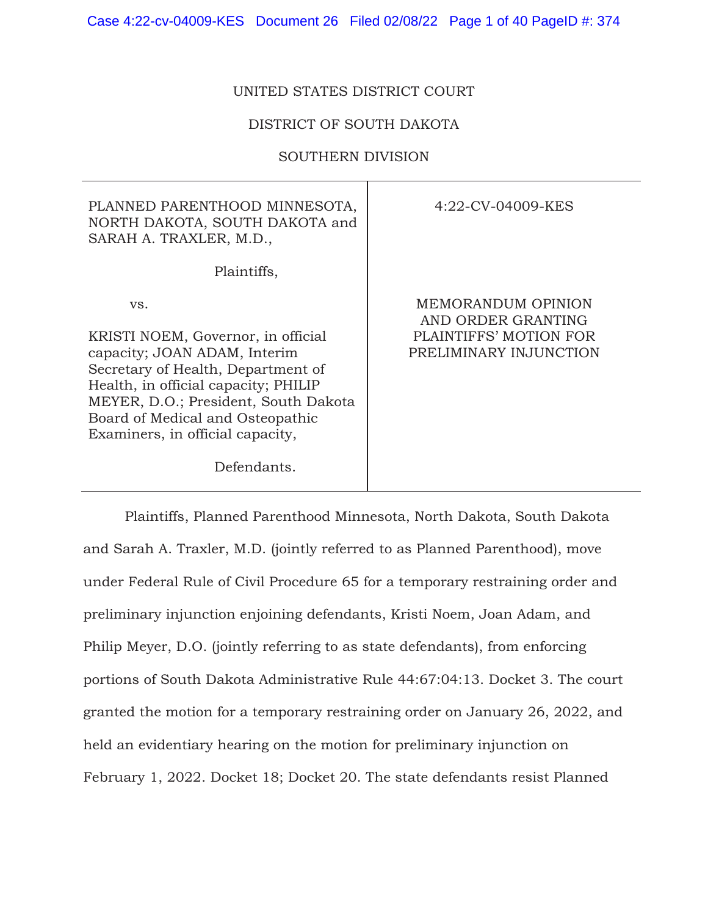# UNITED STATES DISTRICT COURT

## DISTRICT OF SOUTH DAKOTA

## SOUTHERN DIVISION

| PLANNED PARENTHOOD MINNESOTA,<br>NORTH DAKOTA, SOUTH DAKOTA and<br>SARAH A. TRAXLER, M.D.,                                                                                                                                                                                             | 4:22-CV-04009-KES                                                                            |
|----------------------------------------------------------------------------------------------------------------------------------------------------------------------------------------------------------------------------------------------------------------------------------------|----------------------------------------------------------------------------------------------|
| Plaintiffs,                                                                                                                                                                                                                                                                            |                                                                                              |
| VS.<br>KRISTI NOEM, Governor, in official<br>capacity; JOAN ADAM, Interim<br>Secretary of Health, Department of<br>Health, in official capacity; PHILIP<br>MEYER, D.O.; President, South Dakota<br>Board of Medical and Osteopathic<br>Examiners, in official capacity,<br>Defendants. | MEMORANDUM OPINION<br>AND ORDER GRANTING<br>PLAINTIFFS' MOTION FOR<br>PRELIMINARY INJUNCTION |

Plaintiffs, Planned Parenthood Minnesota, North Dakota, South Dakota and Sarah A. Traxler, M.D. (jointly referred to as Planned Parenthood), move under Federal Rule of Civil Procedure 65 for a temporary restraining order and preliminary injunction enjoining defendants, Kristi Noem, Joan Adam, and Philip Meyer, D.O. (jointly referring to as state defendants), from enforcing portions of South Dakota Administrative Rule 44:67:04:13. Docket 3. The court granted the motion for a temporary restraining order on January 26, 2022, and held an evidentiary hearing on the motion for preliminary injunction on February 1, 2022. Docket 18; Docket 20. The state defendants resist Planned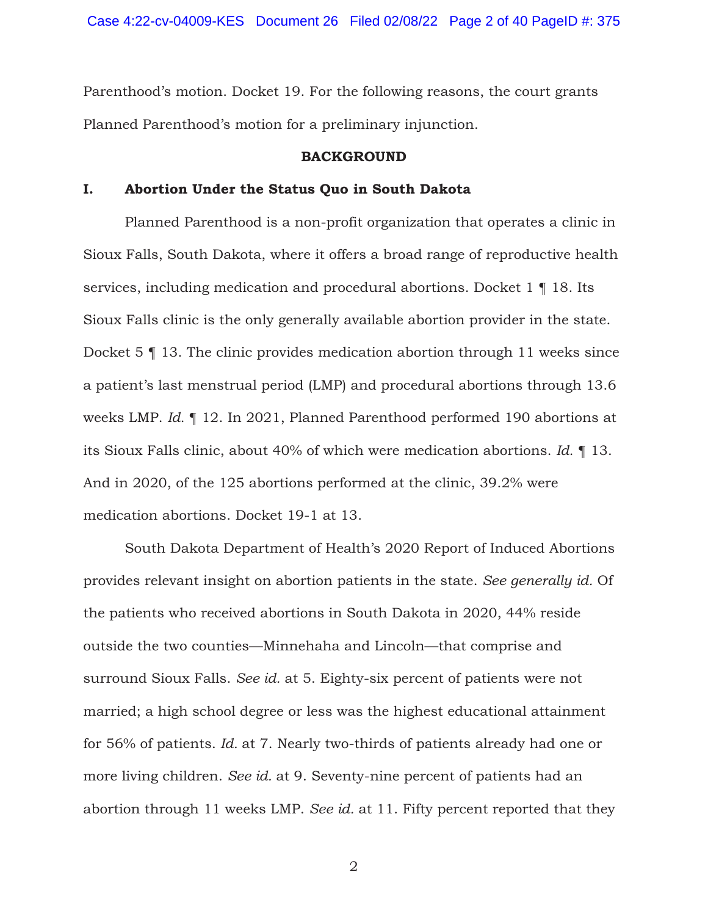Parenthood's motion. Docket 19. For the following reasons, the court grants Planned Parenthood's motion for a preliminary injunction.

### **BACKGROUND**

## **I. Abortion Under the Status Quo in South Dakota**

Planned Parenthood is a non-profit organization that operates a clinic in Sioux Falls, South Dakota, where it offers a broad range of reproductive health services, including medication and procedural abortions. Docket 1 ¶ 18. Its Sioux Falls clinic is the only generally available abortion provider in the state. Docket 5 ¶ 13. The clinic provides medication abortion through 11 weeks since a patient's last menstrual period (LMP) and procedural abortions through 13.6 weeks LMP. *Id.* ¶ 12. In 2021, Planned Parenthood performed 190 abortions at its Sioux Falls clinic, about 40% of which were medication abortions. *Id.* ¶ 13. And in 2020, of the 125 abortions performed at the clinic, 39.2% were medication abortions. Docket 19-1 at 13.

South Dakota Department of Health's 2020 Report of Induced Abortions provides relevant insight on abortion patients in the state. *See generally id.* Of the patients who received abortions in South Dakota in 2020, 44% reside outside the two counties—Minnehaha and Lincoln—that comprise and surround Sioux Falls. *See id.* at 5. Eighty-six percent of patients were not married; a high school degree or less was the highest educational attainment for 56% of patients. *Id.* at 7. Nearly two-thirds of patients already had one or more living children. *See id.* at 9. Seventy-nine percent of patients had an abortion through 11 weeks LMP. *See id.* at 11. Fifty percent reported that they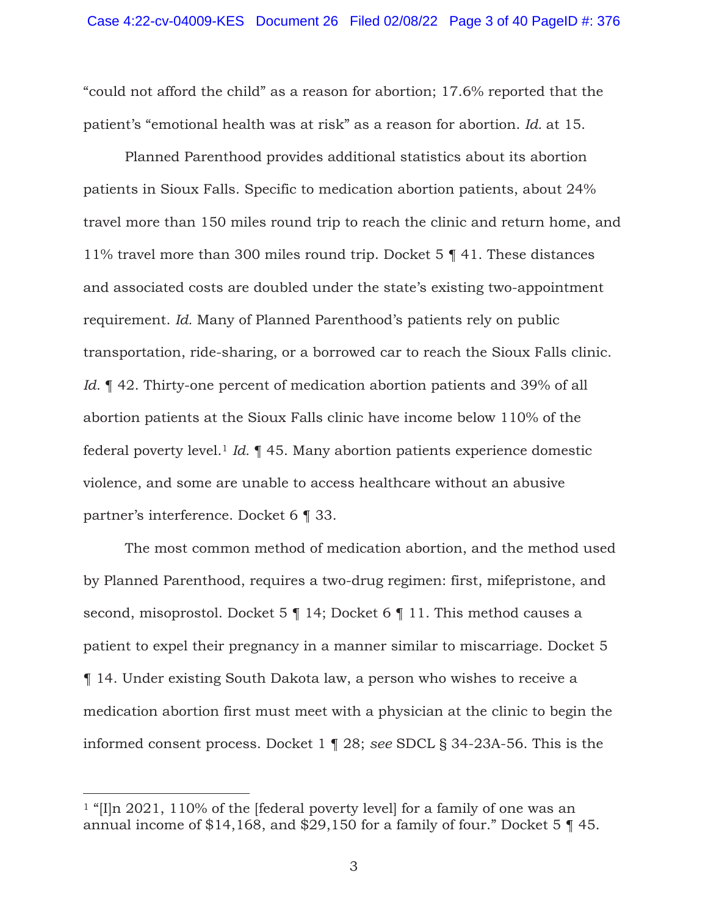"could not afford the child" as a reason for abortion; 17.6% reported that the patient's "emotional health was at risk" as a reason for abortion. *Id.* at 15.

Planned Parenthood provides additional statistics about its abortion patients in Sioux Falls. Specific to medication abortion patients, about 24% travel more than 150 miles round trip to reach the clinic and return home, and 11% travel more than 300 miles round trip. Docket 5 ¶ 41. These distances and associated costs are doubled under the state's existing two-appointment requirement. *Id.* Many of Planned Parenthood's patients rely on public transportation, ride-sharing, or a borrowed car to reach the Sioux Falls clinic. *Id.*  $\parallel$  42. Thirty-one percent of medication abortion patients and 39% of all abortion patients at the Sioux Falls clinic have income below 110% of the federal poverty level.1 *Id.* ¶ 45. Many abortion patients experience domestic violence, and some are unable to access healthcare without an abusive partner's interference. Docket 6 ¶ 33.

The most common method of medication abortion, and the method used by Planned Parenthood, requires a two-drug regimen: first, mifepristone, and second, misoprostol. Docket 5 | 14; Docket 6 | 11. This method causes a patient to expel their pregnancy in a manner similar to miscarriage. Docket 5 ¶ 14. Under existing South Dakota law, a person who wishes to receive a medication abortion first must meet with a physician at the clinic to begin the informed consent process. Docket 1 ¶ 28; *see* SDCL § 34-23A-56. This is the

<sup>&</sup>lt;sup>1</sup> "[I]n 2021, 110% of the [federal poverty level] for a family of one was an annual income of \$14,168, and \$29,150 for a family of four." Docket 5 ¶ 45.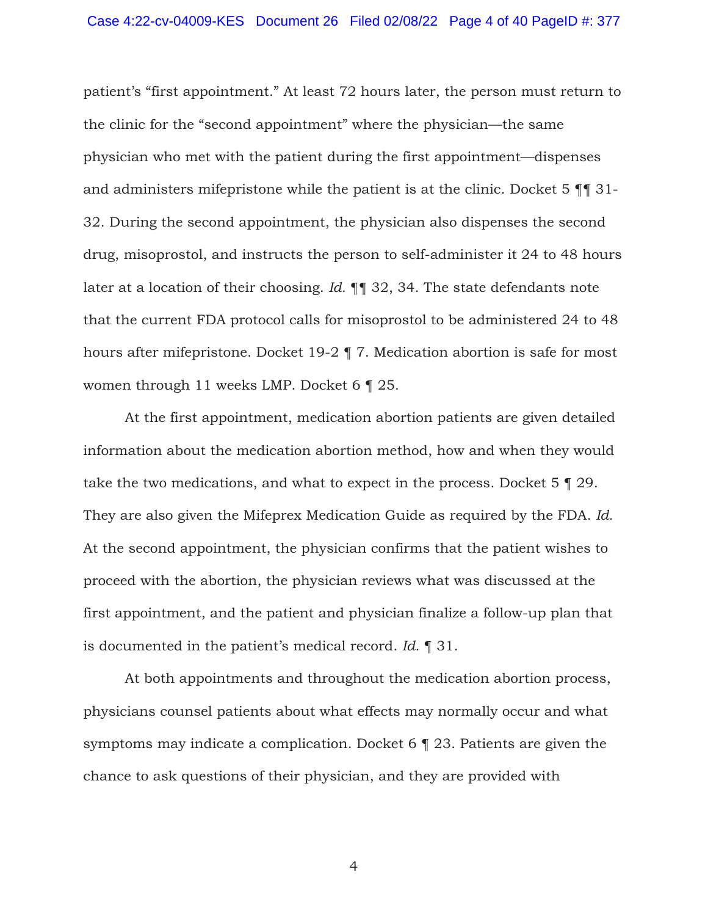patient's "first appointment." At least 72 hours later, the person must return to the clinic for the "second appointment" where the physician—the same physician who met with the patient during the first appointment—dispenses and administers mifepristone while the patient is at the clinic. Docket 5 ¶¶ 31- 32. During the second appointment, the physician also dispenses the second drug, misoprostol, and instructs the person to self-administer it 24 to 48 hours later at a location of their choosing. *Id.* ¶¶ 32, 34. The state defendants note that the current FDA protocol calls for misoprostol to be administered 24 to 48 hours after mifepristone. Docket 19-2 ¶ 7. Medication abortion is safe for most women through 11 weeks LMP. Docket 6 ¶ 25.

At the first appointment, medication abortion patients are given detailed information about the medication abortion method, how and when they would take the two medications, and what to expect in the process. Docket 5 ¶ 29. They are also given the Mifeprex Medication Guide as required by the FDA. *Id.* At the second appointment, the physician confirms that the patient wishes to proceed with the abortion, the physician reviews what was discussed at the first appointment, and the patient and physician finalize a follow-up plan that is documented in the patient's medical record. *Id.* ¶ 31.

At both appointments and throughout the medication abortion process, physicians counsel patients about what effects may normally occur and what symptoms may indicate a complication. Docket 6 ¶ 23. Patients are given the chance to ask questions of their physician, and they are provided with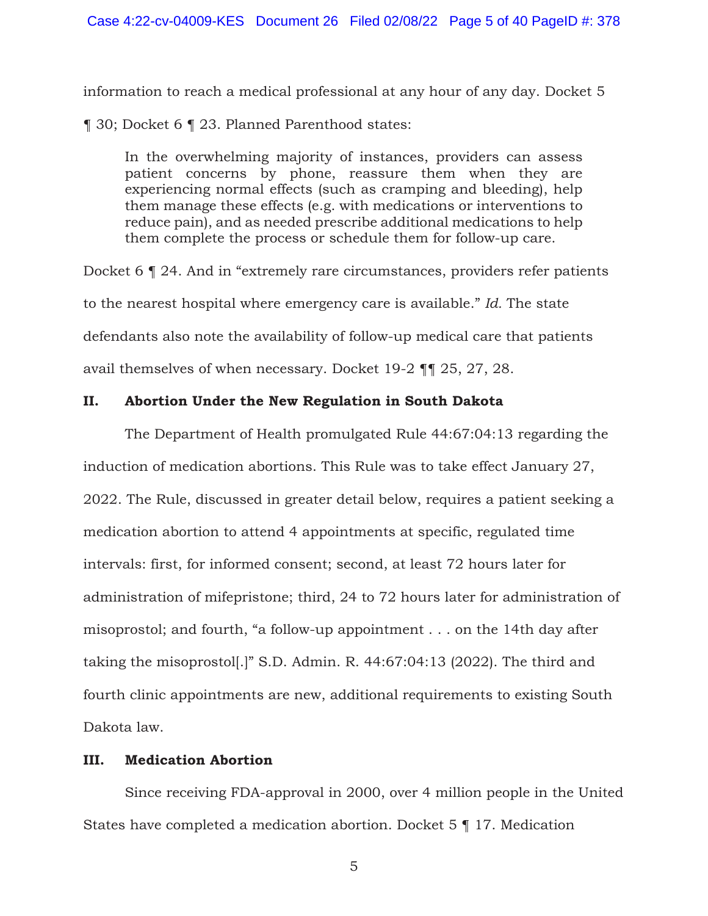information to reach a medical professional at any hour of any day. Docket 5

¶ 30; Docket 6 ¶ 23. Planned Parenthood states:

In the overwhelming majority of instances, providers can assess patient concerns by phone, reassure them when they are experiencing normal effects (such as cramping and bleeding), help them manage these effects (e.g. with medications or interventions to reduce pain), and as needed prescribe additional medications to help them complete the process or schedule them for follow-up care.

Docket 6 ¶ 24. And in "extremely rare circumstances, providers refer patients to the nearest hospital where emergency care is available." *Id.* The state defendants also note the availability of follow-up medical care that patients avail themselves of when necessary. Docket 19-2 ¶¶ 25, 27, 28.

# **II. Abortion Under the New Regulation in South Dakota**

The Department of Health promulgated Rule 44:67:04:13 regarding the induction of medication abortions. This Rule was to take effect January 27, 2022. The Rule, discussed in greater detail below, requires a patient seeking a medication abortion to attend 4 appointments at specific, regulated time intervals: first, for informed consent; second, at least 72 hours later for administration of mifepristone; third, 24 to 72 hours later for administration of misoprostol; and fourth, "a follow-up appointment . . . on the 14th day after taking the misoprostol[.]" S.D. Admin. R. 44:67:04:13 (2022). The third and fourth clinic appointments are new, additional requirements to existing South Dakota law.

# **III. Medication Abortion**

Since receiving FDA-approval in 2000, over 4 million people in the United States have completed a medication abortion. Docket 5 ¶ 17. Medication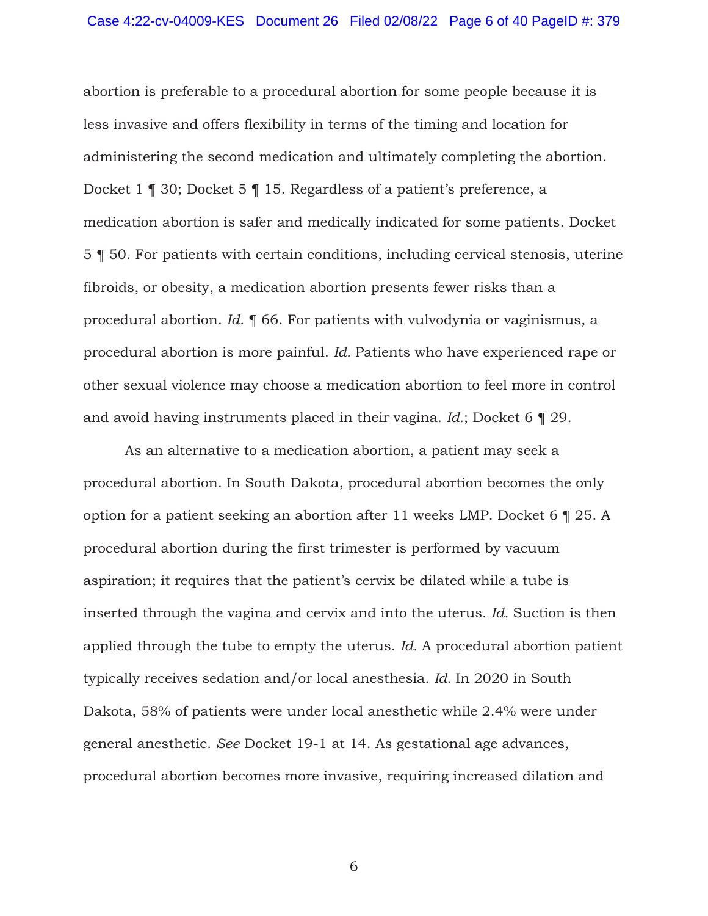abortion is preferable to a procedural abortion for some people because it is less invasive and offers flexibility in terms of the timing and location for administering the second medication and ultimately completing the abortion. Docket 1 ¶ 30; Docket 5 ¶ 15. Regardless of a patient's preference, a medication abortion is safer and medically indicated for some patients. Docket 5 ¶ 50. For patients with certain conditions, including cervical stenosis, uterine fibroids, or obesity, a medication abortion presents fewer risks than a procedural abortion. *Id.* ¶ 66. For patients with vulvodynia or vaginismus, a procedural abortion is more painful. *Id.* Patients who have experienced rape or other sexual violence may choose a medication abortion to feel more in control and avoid having instruments placed in their vagina. *Id.*; Docket 6 ¶ 29.

As an alternative to a medication abortion, a patient may seek a procedural abortion. In South Dakota, procedural abortion becomes the only option for a patient seeking an abortion after 11 weeks LMP. Docket 6 ¶ 25. A procedural abortion during the first trimester is performed by vacuum aspiration; it requires that the patient's cervix be dilated while a tube is inserted through the vagina and cervix and into the uterus. *Id.* Suction is then applied through the tube to empty the uterus. *Id.* A procedural abortion patient typically receives sedation and/or local anesthesia. *Id.* In 2020 in South Dakota, 58% of patients were under local anesthetic while 2.4% were under general anesthetic. *See* Docket 19-1 at 14. As gestational age advances, procedural abortion becomes more invasive, requiring increased dilation and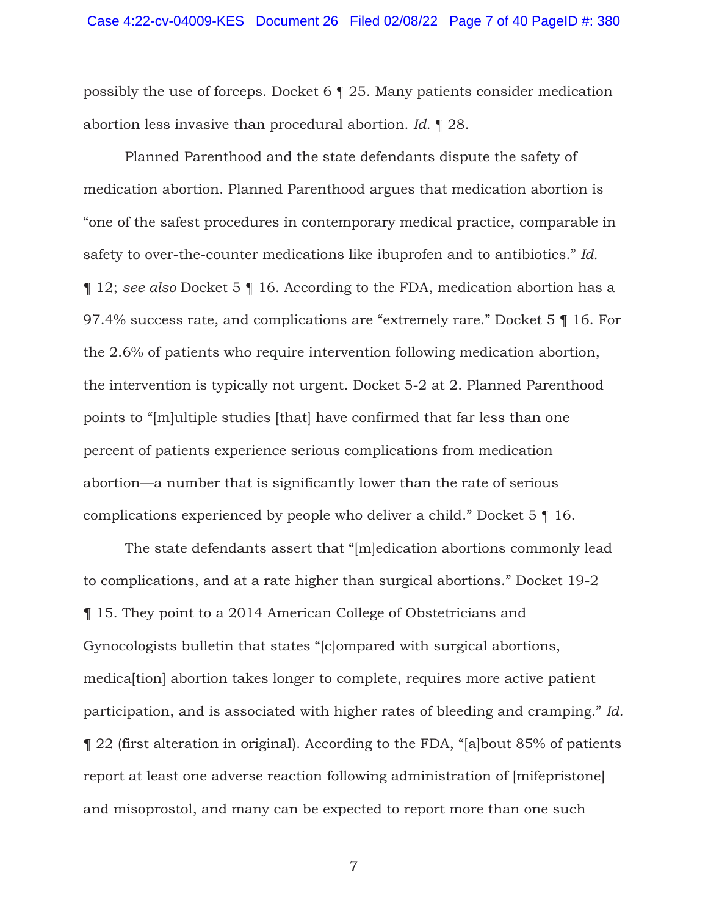possibly the use of forceps. Docket 6 ¶ 25. Many patients consider medication abortion less invasive than procedural abortion. *Id.* ¶ 28.

Planned Parenthood and the state defendants dispute the safety of medication abortion. Planned Parenthood argues that medication abortion is "one of the safest procedures in contemporary medical practice, comparable in safety to over-the-counter medications like ibuprofen and to antibiotics." *Id.* ¶ 12; *see also* Docket 5 ¶ 16. According to the FDA, medication abortion has a 97.4% success rate, and complications are "extremely rare." Docket 5 ¶ 16. For the 2.6% of patients who require intervention following medication abortion, the intervention is typically not urgent. Docket 5-2 at 2. Planned Parenthood points to "[m]ultiple studies [that] have confirmed that far less than one percent of patients experience serious complications from medication abortion—a number that is significantly lower than the rate of serious complications experienced by people who deliver a child." Docket 5 ¶ 16.

The state defendants assert that "[m]edication abortions commonly lead to complications, and at a rate higher than surgical abortions." Docket 19-2 ¶ 15. They point to a 2014 American College of Obstetricians and Gynocologists bulletin that states "[c]ompared with surgical abortions, medica[tion] abortion takes longer to complete, requires more active patient participation, and is associated with higher rates of bleeding and cramping." *Id.*  ¶ 22 (first alteration in original). According to the FDA, "[a]bout 85% of patients report at least one adverse reaction following administration of [mifepristone] and misoprostol, and many can be expected to report more than one such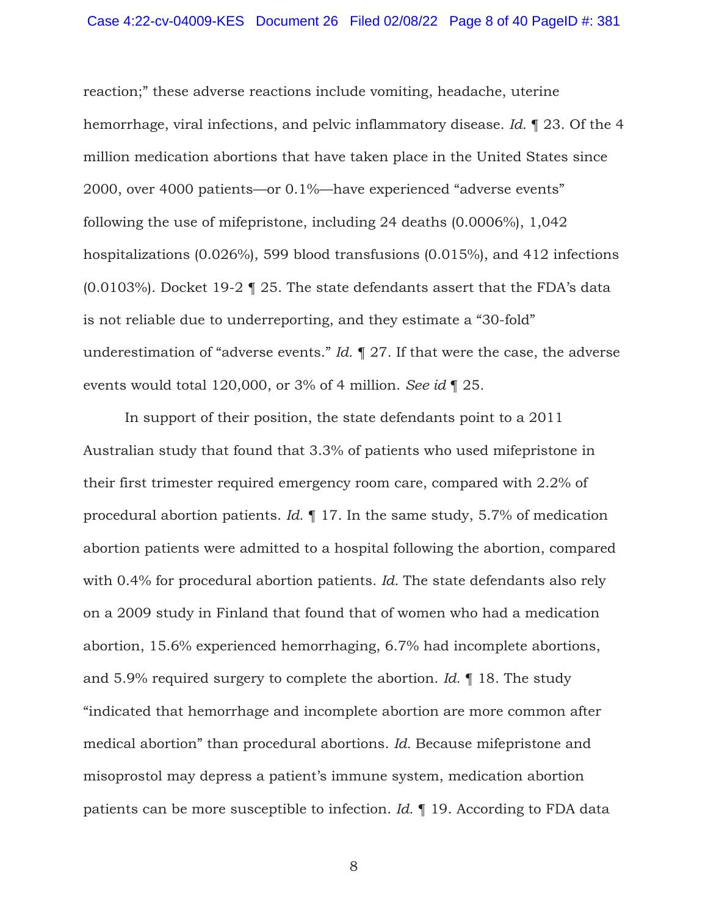reaction;" these adverse reactions include vomiting, headache, uterine hemorrhage, viral infections, and pelvic inflammatory disease. *Id.* ¶ 23. Of the 4 million medication abortions that have taken place in the United States since 2000, over 4000 patients—or 0.1%—have experienced "adverse events" following the use of mifepristone, including 24 deaths (0.0006%), 1,042 hospitalizations (0.026%), 599 blood transfusions (0.015%), and 412 infections (0.0103%). Docket 19-2 ¶ 25. The state defendants assert that the FDA's data is not reliable due to underreporting, and they estimate a "30-fold" underestimation of "adverse events." *Id.* ¶ 27. If that were the case, the adverse events would total 120,000, or 3% of 4 million. *See id* ¶ 25*.*

In support of their position, the state defendants point to a 2011 Australian study that found that 3.3% of patients who used mifepristone in their first trimester required emergency room care, compared with 2.2% of procedural abortion patients. *Id.* ¶ 17. In the same study, 5.7% of medication abortion patients were admitted to a hospital following the abortion, compared with 0.4% for procedural abortion patients. *Id.* The state defendants also rely on a 2009 study in Finland that found that of women who had a medication abortion, 15.6% experienced hemorrhaging, 6.7% had incomplete abortions, and 5.9% required surgery to complete the abortion. *Id.* ¶ 18. The study "indicated that hemorrhage and incomplete abortion are more common after medical abortion" than procedural abortions. *Id.* Because mifepristone and misoprostol may depress a patient's immune system, medication abortion patients can be more susceptible to infection. *Id.* ¶ 19. According to FDA data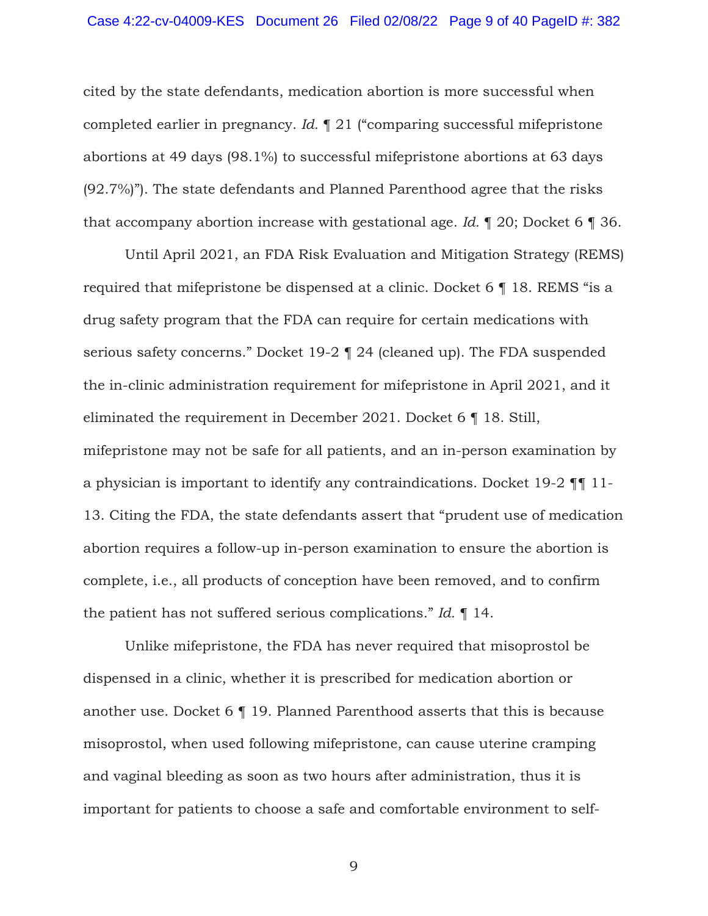cited by the state defendants, medication abortion is more successful when completed earlier in pregnancy. *Id.* ¶ 21 ("comparing successful mifepristone abortions at 49 days (98.1%) to successful mifepristone abortions at 63 days (92.7%)"). The state defendants and Planned Parenthood agree that the risks that accompany abortion increase with gestational age. *Id.* ¶ 20; Docket 6 ¶ 36.

 Until April 2021, an FDA Risk Evaluation and Mitigation Strategy (REMS) required that mifepristone be dispensed at a clinic. Docket 6 ¶ 18. REMS "is a drug safety program that the FDA can require for certain medications with serious safety concerns." Docket 19-2 ¶ 24 (cleaned up). The FDA suspended the in-clinic administration requirement for mifepristone in April 2021, and it eliminated the requirement in December 2021. Docket 6 ¶ 18. Still, mifepristone may not be safe for all patients, and an in-person examination by a physician is important to identify any contraindications. Docket 19-2 ¶¶ 11- 13. Citing the FDA, the state defendants assert that "prudent use of medication abortion requires a follow-up in-person examination to ensure the abortion is complete, i.e., all products of conception have been removed, and to confirm the patient has not suffered serious complications." *Id.* ¶ 14.

Unlike mifepristone, the FDA has never required that misoprostol be dispensed in a clinic, whether it is prescribed for medication abortion or another use. Docket 6 ¶ 19. Planned Parenthood asserts that this is because misoprostol, when used following mifepristone, can cause uterine cramping and vaginal bleeding as soon as two hours after administration, thus it is important for patients to choose a safe and comfortable environment to self-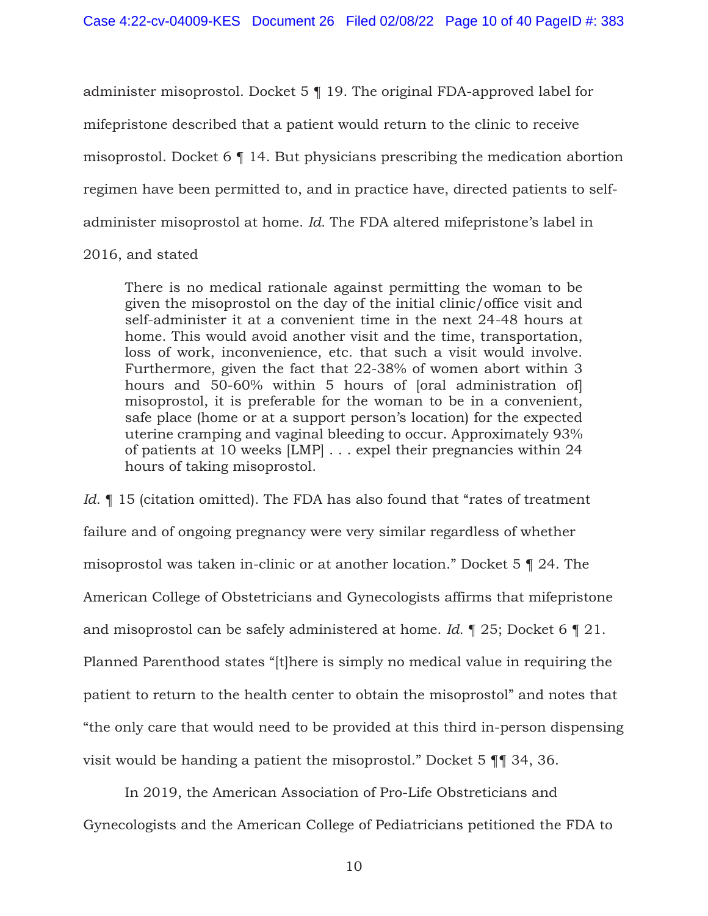administer misoprostol. Docket 5 ¶ 19. The original FDA-approved label for mifepristone described that a patient would return to the clinic to receive misoprostol. Docket 6 ¶ 14. But physicians prescribing the medication abortion regimen have been permitted to, and in practice have, directed patients to selfadminister misoprostol at home. *Id.* The FDA altered mifepristone's label in

# 2016, and stated

There is no medical rationale against permitting the woman to be given the misoprostol on the day of the initial clinic/office visit and self-administer it at a convenient time in the next 24-48 hours at home. This would avoid another visit and the time, transportation, loss of work, inconvenience, etc. that such a visit would involve. Furthermore, given the fact that 22-38% of women abort within 3 hours and 50-60% within 5 hours of [oral administration of] misoprostol, it is preferable for the woman to be in a convenient, safe place (home or at a support person's location) for the expected uterine cramping and vaginal bleeding to occur. Approximately 93% of patients at 10 weeks [LMP] . . . expel their pregnancies within 24 hours of taking misoprostol.

*Id.* 15 (citation omitted). The FDA has also found that "rates of treatment" failure and of ongoing pregnancy were very similar regardless of whether misoprostol was taken in-clinic or at another location." Docket 5 ¶ 24. The American College of Obstetricians and Gynecologists affirms that mifepristone and misoprostol can be safely administered at home. *Id.* ¶ 25; Docket 6 ¶ 21. Planned Parenthood states "[t]here is simply no medical value in requiring the patient to return to the health center to obtain the misoprostol" and notes that "the only care that would need to be provided at this third in-person dispensing visit would be handing a patient the misoprostol." Docket 5 ¶¶ 34, 36.

 In 2019, the American Association of Pro-Life Obstreticians and Gynecologists and the American College of Pediatricians petitioned the FDA to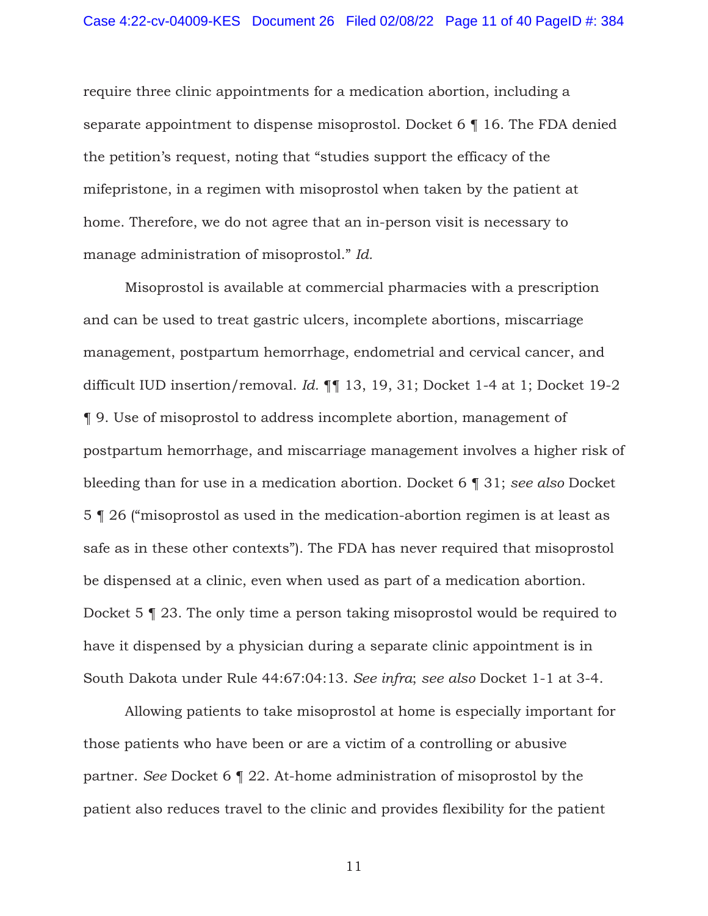require three clinic appointments for a medication abortion, including a separate appointment to dispense misoprostol. Docket 6 ¶ 16. The FDA denied the petition's request, noting that "studies support the efficacy of the mifepristone, in a regimen with misoprostol when taken by the patient at home. Therefore, we do not agree that an in-person visit is necessary to manage administration of misoprostol." *Id.*

Misoprostol is available at commercial pharmacies with a prescription and can be used to treat gastric ulcers, incomplete abortions, miscarriage management, postpartum hemorrhage, endometrial and cervical cancer, and difficult IUD insertion/removal. *Id.* ¶¶ 13, 19, 31; Docket 1-4 at 1; Docket 19-2 ¶ 9. Use of misoprostol to address incomplete abortion, management of postpartum hemorrhage, and miscarriage management involves a higher risk of bleeding than for use in a medication abortion. Docket 6 ¶ 31; *see also* Docket 5 ¶ 26 ("misoprostol as used in the medication-abortion regimen is at least as safe as in these other contexts"). The FDA has never required that misoprostol be dispensed at a clinic, even when used as part of a medication abortion. Docket 5 ¶ 23. The only time a person taking misoprostol would be required to have it dispensed by a physician during a separate clinic appointment is in South Dakota under Rule 44:67:04:13. *See infra*; *see also* Docket 1-1 at 3-4.

Allowing patients to take misoprostol at home is especially important for those patients who have been or are a victim of a controlling or abusive partner. *See* Docket 6 ¶ 22. At-home administration of misoprostol by the patient also reduces travel to the clinic and provides flexibility for the patient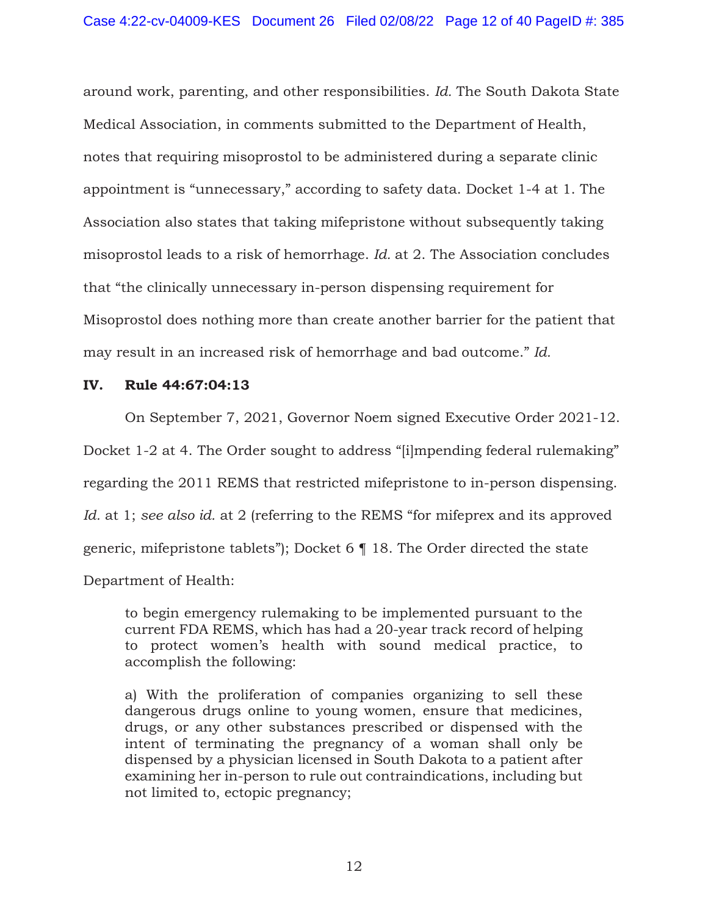around work, parenting, and other responsibilities. *Id.* The South Dakota State Medical Association, in comments submitted to the Department of Health, notes that requiring misoprostol to be administered during a separate clinic appointment is "unnecessary," according to safety data. Docket 1-4 at 1. The Association also states that taking mifepristone without subsequently taking misoprostol leads to a risk of hemorrhage. *Id.* at 2. The Association concludes that "the clinically unnecessary in-person dispensing requirement for Misoprostol does nothing more than create another barrier for the patient that may result in an increased risk of hemorrhage and bad outcome." *Id.*

# **IV. Rule 44:67:04:13**

On September 7, 2021, Governor Noem signed Executive Order 2021-12. Docket 1-2 at 4. The Order sought to address "[i]mpending federal rulemaking" regarding the 2011 REMS that restricted mifepristone to in-person dispensing. *Id.* at 1; *see also id.* at 2 (referring to the REMS "for mifeprex and its approved generic, mifepristone tablets"); Docket 6 ¶ 18. The Order directed the state Department of Health:

to begin emergency rulemaking to be implemented pursuant to the current FDA REMS, which has had a 20-year track record of helping to protect women's health with sound medical practice, to accomplish the following:

a) With the proliferation of companies organizing to sell these dangerous drugs online to young women, ensure that medicines, drugs, or any other substances prescribed or dispensed with the intent of terminating the pregnancy of a woman shall only be dispensed by a physician licensed in South Dakota to a patient after examining her in-person to rule out contraindications, including but not limited to, ectopic pregnancy;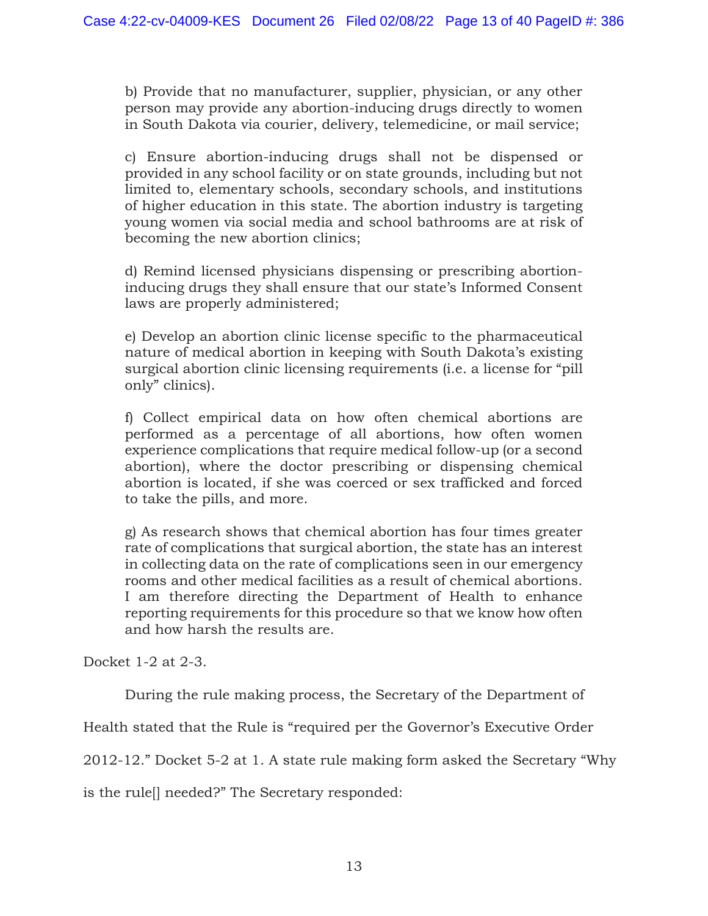b) Provide that no manufacturer, supplier, physician, or any other person may provide any abortion-inducing drugs directly to women in South Dakota via courier, delivery, telemedicine, or mail service;

c) Ensure abortion-inducing drugs shall not be dispensed or provided in any school facility or on state grounds, including but not limited to, elementary schools, secondary schools, and institutions of higher education in this state. The abortion industry is targeting young women via social media and school bathrooms are at risk of becoming the new abortion clinics;

d) Remind licensed physicians dispensing or prescribing abortioninducing drugs they shall ensure that our state's Informed Consent laws are properly administered;

e) Develop an abortion clinic license specific to the pharmaceutical nature of medical abortion in keeping with South Dakota's existing surgical abortion clinic licensing requirements (i.e. a license for "pill only" clinics).

f) Collect empirical data on how often chemical abortions are performed as a percentage of all abortions, how often women experience complications that require medical follow-up (or a second abortion), where the doctor prescribing or dispensing chemical abortion is located, if she was coerced or sex trafficked and forced to take the pills, and more.

g) As research shows that chemical abortion has four times greater rate of complications that surgical abortion, the state has an interest in collecting data on the rate of complications seen in our emergency rooms and other medical facilities as a result of chemical abortions. I am therefore directing the Department of Health to enhance reporting requirements for this procedure so that we know how often and how harsh the results are.

Docket 1-2 at 2-3.

During the rule making process, the Secretary of the Department of

Health stated that the Rule is "required per the Governor's Executive Order

2012-12." Docket 5-2 at 1. A state rule making form asked the Secretary "Why

is the rule[] needed?" The Secretary responded: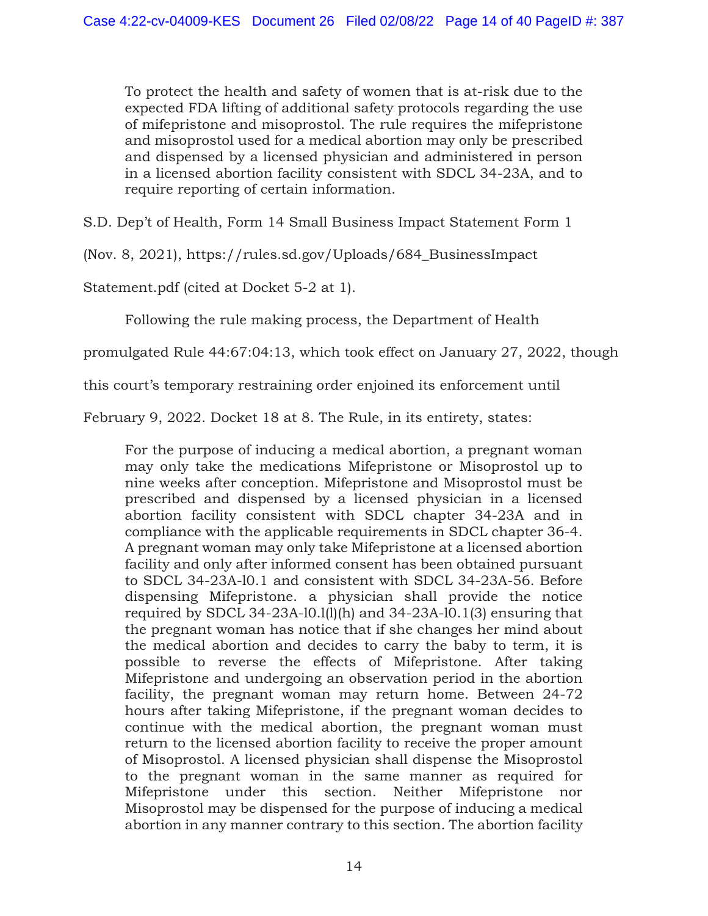To protect the health and safety of women that is at-risk due to the expected FDA lifting of additional safety protocols regarding the use of mifepristone and misoprostol. The rule requires the mifepristone and misoprostol used for a medical abortion may only be prescribed and dispensed by a licensed physician and administered in person in a licensed abortion facility consistent with SDCL 34-23A, and to require reporting of certain information.

S.D. Dep't of Health, Form 14 Small Business Impact Statement Form 1

(Nov. 8, 2021), https://rules.sd.gov/Uploads/684\_BusinessImpact

Statement.pdf (cited at Docket 5-2 at 1).

Following the rule making process, the Department of Health

promulgated Rule 44:67:04:13, which took effect on January 27, 2022, though

this court's temporary restraining order enjoined its enforcement until

February 9, 2022. Docket 18 at 8. The Rule, in its entirety, states:

For the purpose of inducing a medical abortion, a pregnant woman may only take the medications Mifepristone or Misoprostol up to nine weeks after conception. Mifepristone and Misoprostol must be prescribed and dispensed by a licensed physician in a licensed abortion facility consistent with SDCL chapter 34-23A and in compliance with the applicable requirements in SDCL chapter 36-4. A pregnant woman may only take Mifepristone at a licensed abortion facility and only after informed consent has been obtained pursuant to SDCL 34-23A-l0.1 and consistent with SDCL 34-23A-56. Before dispensing Mifepristone. a physician shall provide the notice required by SDCL 34-23A-l0.l(l)(h) and 34-23A-l0.1(3) ensuring that the pregnant woman has notice that if she changes her mind about the medical abortion and decides to carry the baby to term, it is possible to reverse the effects of Mifepristone. After taking Mifepristone and undergoing an observation period in the abortion facility, the pregnant woman may return home. Between 24-72 hours after taking Mifepristone, if the pregnant woman decides to continue with the medical abortion, the pregnant woman must return to the licensed abortion facility to receive the proper amount of Misoprostol. A licensed physician shall dispense the Misoprostol to the pregnant woman in the same manner as required for Mifepristone under this section. Neither Mifepristone nor Misoprostol may be dispensed for the purpose of inducing a medical abortion in any manner contrary to this section. The abortion facility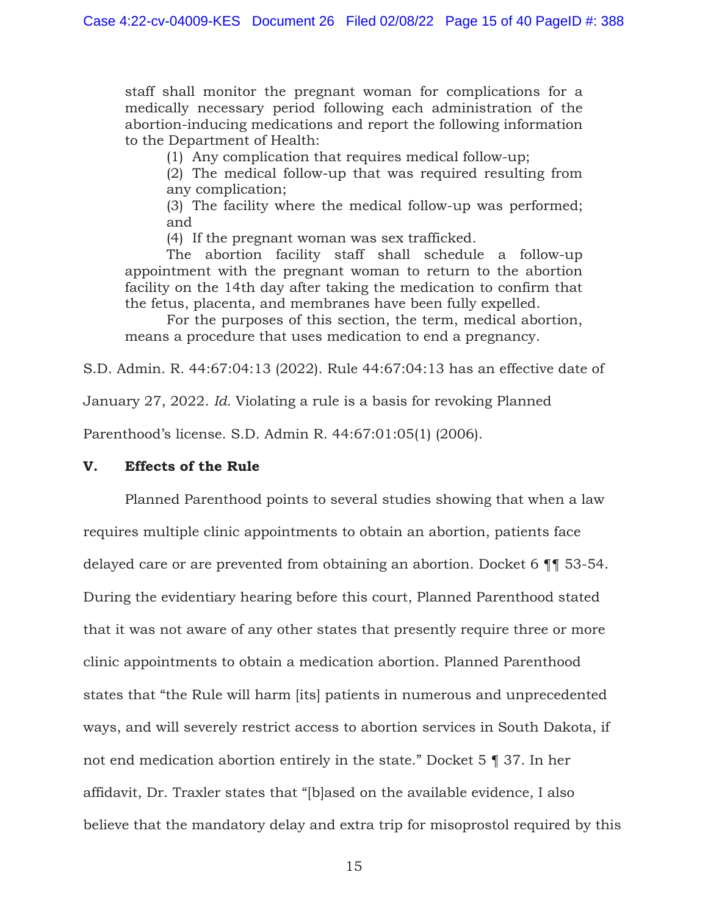staff shall monitor the pregnant woman for complications for a medically necessary period following each administration of the abortion-inducing medications and report the following information to the Department of Health:

(1) Any complication that requires medical follow-up;

(2) The medical follow-up that was required resulting from any complication;

(3) The facility where the medical follow-up was performed; and

(4) If the pregnant woman was sex trafficked.

The abortion facility staff shall schedule a follow-up appointment with the pregnant woman to return to the abortion facility on the 14th day after taking the medication to confirm that the fetus, placenta, and membranes have been fully expelled.

For the purposes of this section, the term, medical abortion, means a procedure that uses medication to end a pregnancy.

S.D. Admin. R. 44:67:04:13 (2022). Rule 44:67:04:13 has an effective date of

January 27, 2022. *Id.* Violating a rule is a basis for revoking Planned

Parenthood's license. S.D. Admin R. 44:67:01:05(1) (2006).

# **V. Effects of the Rule**

 Planned Parenthood points to several studies showing that when a law requires multiple clinic appointments to obtain an abortion, patients face delayed care or are prevented from obtaining an abortion. Docket 6 ¶¶ 53-54. During the evidentiary hearing before this court, Planned Parenthood stated that it was not aware of any other states that presently require three or more clinic appointments to obtain a medication abortion. Planned Parenthood states that "the Rule will harm [its] patients in numerous and unprecedented ways, and will severely restrict access to abortion services in South Dakota, if not end medication abortion entirely in the state." Docket 5 ¶ 37. In her affidavit, Dr. Traxler states that "[b]ased on the available evidence, I also believe that the mandatory delay and extra trip for misoprostol required by this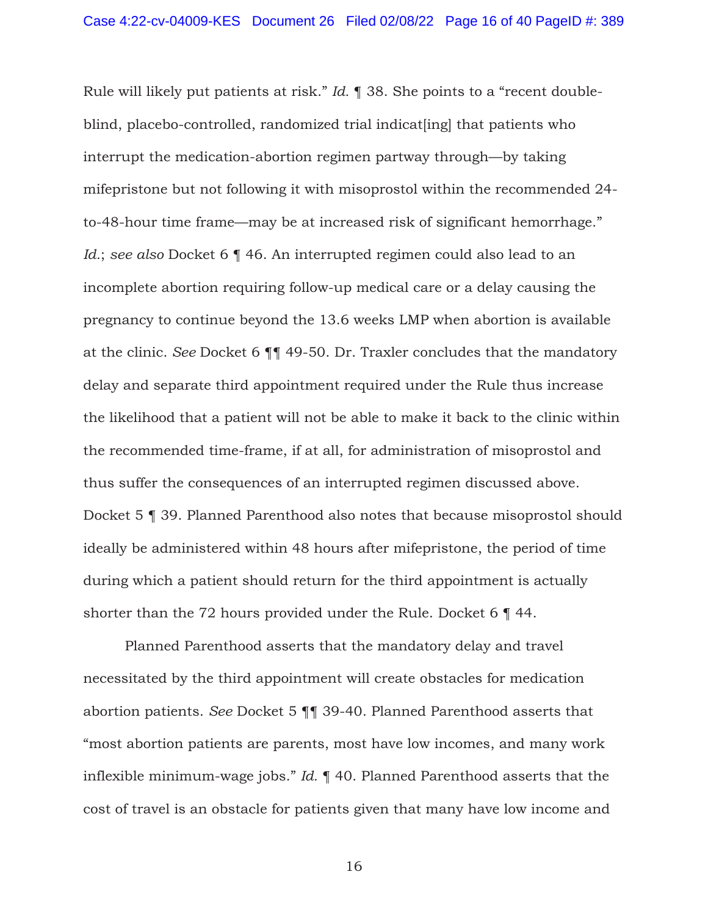Rule will likely put patients at risk." *Id.* ¶ 38. She points to a "recent doubleblind, placebo-controlled, randomized trial indicat [ing] that patients who interrupt the medication-abortion regimen partway through—by taking mifepristone but not following it with misoprostol within the recommended 24 to-48-hour time frame—may be at increased risk of significant hemorrhage." *Id.*; *see also* Docket 6 ¶ 46. An interrupted regimen could also lead to an incomplete abortion requiring follow-up medical care or a delay causing the pregnancy to continue beyond the 13.6 weeks LMP when abortion is available at the clinic. *See* Docket 6 ¶¶ 49-50. Dr. Traxler concludes that the mandatory delay and separate third appointment required under the Rule thus increase the likelihood that a patient will not be able to make it back to the clinic within the recommended time-frame, if at all, for administration of misoprostol and thus suffer the consequences of an interrupted regimen discussed above. Docket 5 ¶ 39. Planned Parenthood also notes that because misoprostol should ideally be administered within 48 hours after mifepristone, the period of time during which a patient should return for the third appointment is actually shorter than the 72 hours provided under the Rule. Docket 6 ¶ 44.

Planned Parenthood asserts that the mandatory delay and travel necessitated by the third appointment will create obstacles for medication abortion patients. *See* Docket 5 ¶¶ 39-40. Planned Parenthood asserts that "most abortion patients are parents, most have low incomes, and many work inflexible minimum-wage jobs." *Id.* ¶ 40. Planned Parenthood asserts that the cost of travel is an obstacle for patients given that many have low income and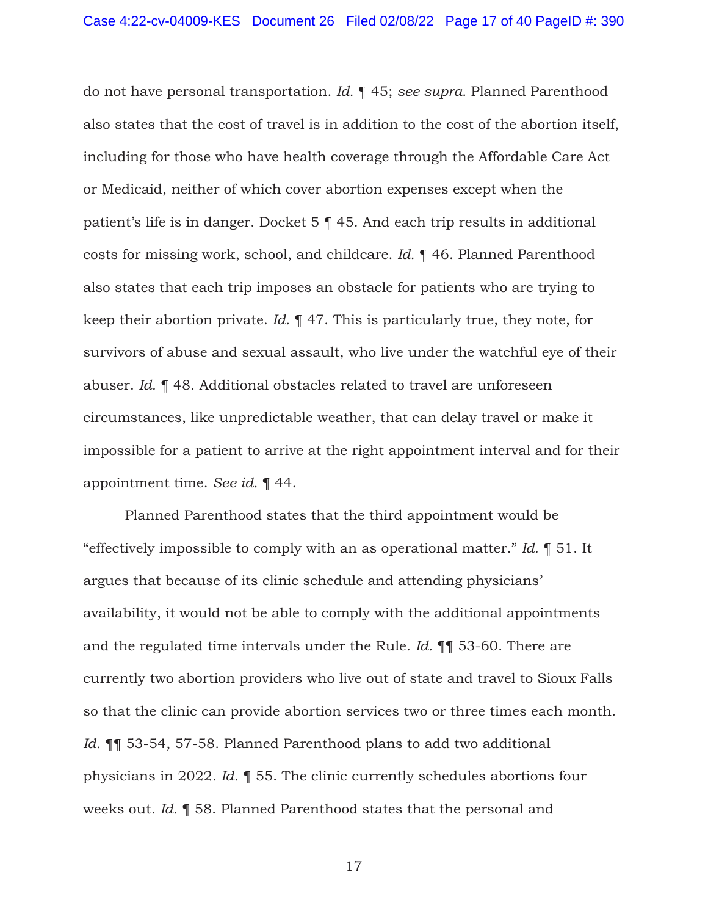do not have personal transportation. *Id.* ¶ 45; *see supra*. Planned Parenthood also states that the cost of travel is in addition to the cost of the abortion itself, including for those who have health coverage through the Affordable Care Act or Medicaid, neither of which cover abortion expenses except when the patient's life is in danger. Docket 5 ¶ 45. And each trip results in additional costs for missing work, school, and childcare. *Id.* ¶ 46. Planned Parenthood also states that each trip imposes an obstacle for patients who are trying to keep their abortion private. *Id.* ¶ 47. This is particularly true, they note, for survivors of abuse and sexual assault, who live under the watchful eye of their abuser. *Id.* ¶ 48. Additional obstacles related to travel are unforeseen circumstances, like unpredictable weather, that can delay travel or make it impossible for a patient to arrive at the right appointment interval and for their appointment time. *See id.* ¶ 44.

Planned Parenthood states that the third appointment would be "effectively impossible to comply with an as operational matter." *Id.* ¶ 51. It argues that because of its clinic schedule and attending physicians' availability, it would not be able to comply with the additional appointments and the regulated time intervals under the Rule. *Id.* ¶¶ 53-60. There are currently two abortion providers who live out of state and travel to Sioux Falls so that the clinic can provide abortion services two or three times each month. *Id.* ¶¶ 53-54, 57-58. Planned Parenthood plans to add two additional physicians in 2022. *Id.* ¶ 55. The clinic currently schedules abortions four weeks out. *Id.* ¶ 58. Planned Parenthood states that the personal and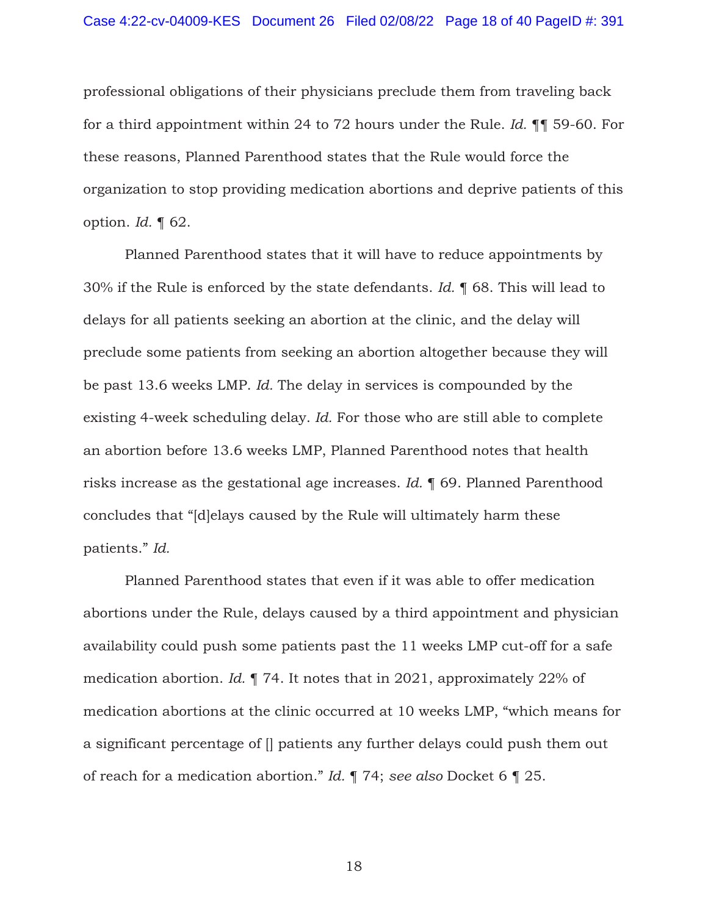professional obligations of their physicians preclude them from traveling back for a third appointment within 24 to 72 hours under the Rule. *Id.* ¶¶ 59-60. For these reasons, Planned Parenthood states that the Rule would force the organization to stop providing medication abortions and deprive patients of this option. *Id.* ¶ 62.

Planned Parenthood states that it will have to reduce appointments by 30% if the Rule is enforced by the state defendants. *Id.* ¶ 68. This will lead to delays for all patients seeking an abortion at the clinic, and the delay will preclude some patients from seeking an abortion altogether because they will be past 13.6 weeks LMP. *Id.* The delay in services is compounded by the existing 4-week scheduling delay. *Id.* For those who are still able to complete an abortion before 13.6 weeks LMP, Planned Parenthood notes that health risks increase as the gestational age increases. *Id.* ¶ 69. Planned Parenthood concludes that "[d]elays caused by the Rule will ultimately harm these patients." *Id.*

Planned Parenthood states that even if it was able to offer medication abortions under the Rule, delays caused by a third appointment and physician availability could push some patients past the 11 weeks LMP cut-off for a safe medication abortion. *Id.* ¶ 74. It notes that in 2021, approximately 22% of medication abortions at the clinic occurred at 10 weeks LMP, "which means for a significant percentage of [] patients any further delays could push them out of reach for a medication abortion." *Id.* ¶ 74; *see also* Docket 6 ¶ 25.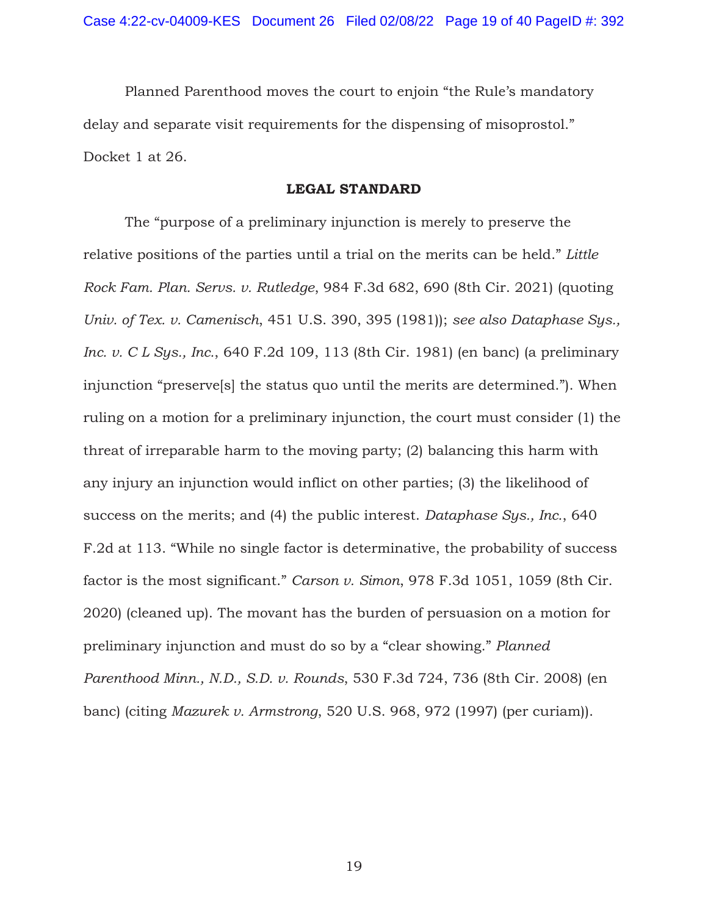Planned Parenthood moves the court to enjoin "the Rule's mandatory delay and separate visit requirements for the dispensing of misoprostol." Docket 1 at 26.

## **LEGAL STANDARD**

The "purpose of a preliminary injunction is merely to preserve the relative positions of the parties until a trial on the merits can be held." *Little Rock Fam. Plan. Servs. v. Rutledge*, 984 F.3d 682, 690 (8th Cir. 2021) (quoting *Univ. of Tex. v. Camenisch*, 451 U.S. 390, 395 (1981)); *see also Dataphase Sys., Inc. v. C L Sys., Inc.*, 640 F.2d 109, 113 (8th Cir. 1981) (en banc) (a preliminary injunction "preserve[s] the status quo until the merits are determined."). When ruling on a motion for a preliminary injunction, the court must consider (1) the threat of irreparable harm to the moving party; (2) balancing this harm with any injury an injunction would inflict on other parties; (3) the likelihood of success on the merits; and (4) the public interest. *Dataphase Sys., Inc.*, 640 F.2d at 113. "While no single factor is determinative, the probability of success factor is the most significant." *Carson v. Simon*, 978 F.3d 1051, 1059 (8th Cir. 2020) (cleaned up). The movant has the burden of persuasion on a motion for preliminary injunction and must do so by a "clear showing." *Planned Parenthood Minn., N.D., S.D. v. Rounds*, 530 F.3d 724, 736 (8th Cir. 2008) (en banc) (citing *Mazurek v. Armstrong*, 520 U.S. 968, 972 (1997) (per curiam)).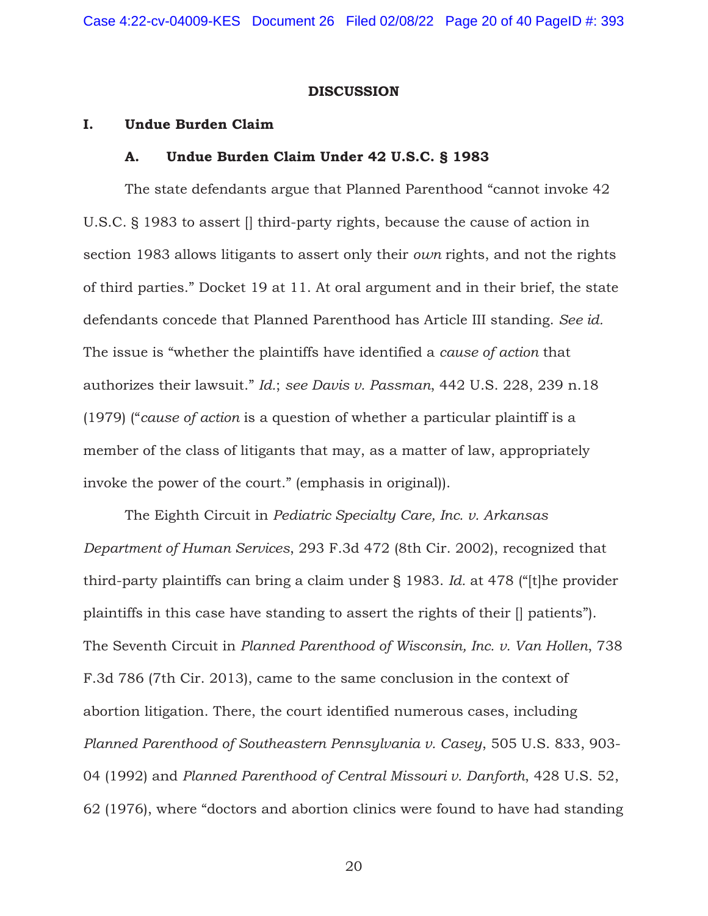### **DISCUSSION**

## **I. Undue Burden Claim**

### **A. Undue Burden Claim Under 42 U.S.C. § 1983**

The state defendants argue that Planned Parenthood "cannot invoke 42 U.S.C. § 1983 to assert [] third-party rights, because the cause of action in section 1983 allows litigants to assert only their *own* rights, and not the rights of third parties." Docket 19 at 11. At oral argument and in their brief, the state defendants concede that Planned Parenthood has Article III standing. *See id.* The issue is "whether the plaintiffs have identified a *cause of action* that authorizes their lawsuit." *Id.*; *see Davis v. Passman*, 442 U.S. 228, 239 n.18 (1979) ("*cause of action* is a question of whether a particular plaintiff is a member of the class of litigants that may, as a matter of law, appropriately invoke the power of the court." (emphasis in original)).

 The Eighth Circuit in *Pediatric Specialty Care, Inc. v. Arkansas Department of Human Services*, 293 F.3d 472 (8th Cir. 2002), recognized that third-party plaintiffs can bring a claim under § 1983. *Id.* at 478 ("[t]he provider plaintiffs in this case have standing to assert the rights of their [] patients"). The Seventh Circuit in *Planned Parenthood of Wisconsin, Inc. v. Van Hollen*, 738 F.3d 786 (7th Cir. 2013), came to the same conclusion in the context of abortion litigation. There, the court identified numerous cases, including *Planned Parenthood of Southeastern Pennsylvania v. Casey*, 505 U.S. 833, 903- 04 (1992) and *Planned Parenthood of Central Missouri v. Danforth*, 428 U.S. 52, 62 (1976), where "doctors and abortion clinics were found to have had standing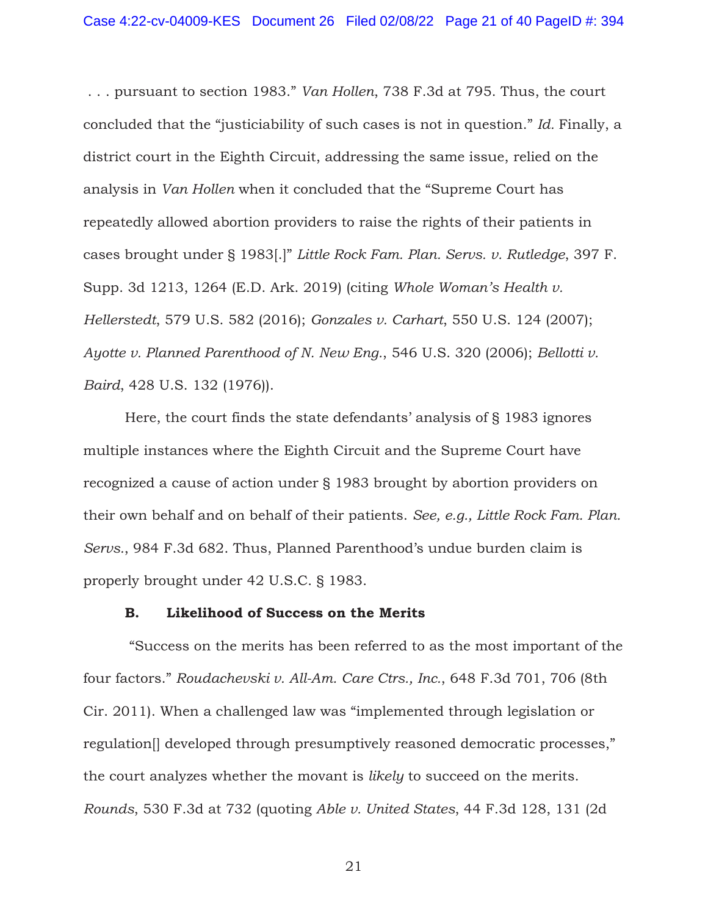. . . pursuant to section 1983." *Van Hollen*, 738 F.3d at 795. Thus, the court concluded that the "justiciability of such cases is not in question." *Id.* Finally, a district court in the Eighth Circuit, addressing the same issue, relied on the analysis in *Van Hollen* when it concluded that the "Supreme Court has repeatedly allowed abortion providers to raise the rights of their patients in cases brought under § 1983[.]" *Little Rock Fam. Plan. Servs. v. Rutledge*, 397 F. Supp. 3d 1213, 1264 (E.D. Ark. 2019) (citing *Whole Woman's Health v. Hellerstedt*, 579 U.S. 582 (2016); *Gonzales v. Carhart*, 550 U.S. 124 (2007); *Ayotte v. Planned Parenthood of N. New Eng.*, 546 U.S. 320 (2006); *Bellotti v. Baird*, 428 U.S. 132 (1976)).

 Here, the court finds the state defendants' analysis of § 1983 ignores multiple instances where the Eighth Circuit and the Supreme Court have recognized a cause of action under § 1983 brought by abortion providers on their own behalf and on behalf of their patients. *See, e.g., Little Rock Fam. Plan. Servs.*, 984 F.3d 682. Thus, Planned Parenthood's undue burden claim is properly brought under 42 U.S.C. § 1983.

## **B. Likelihood of Success on the Merits**

 "Success on the merits has been referred to as the most important of the four factors." *Roudachevski v. All-Am. Care Ctrs., Inc.*, 648 F.3d 701, 706 (8th Cir. 2011). When a challenged law was "implemented through legislation or regulation[] developed through presumptively reasoned democratic processes," the court analyzes whether the movant is *likely* to succeed on the merits. *Rounds*, 530 F.3d at 732 (quoting *Able v. United States*, 44 F.3d 128, 131 (2d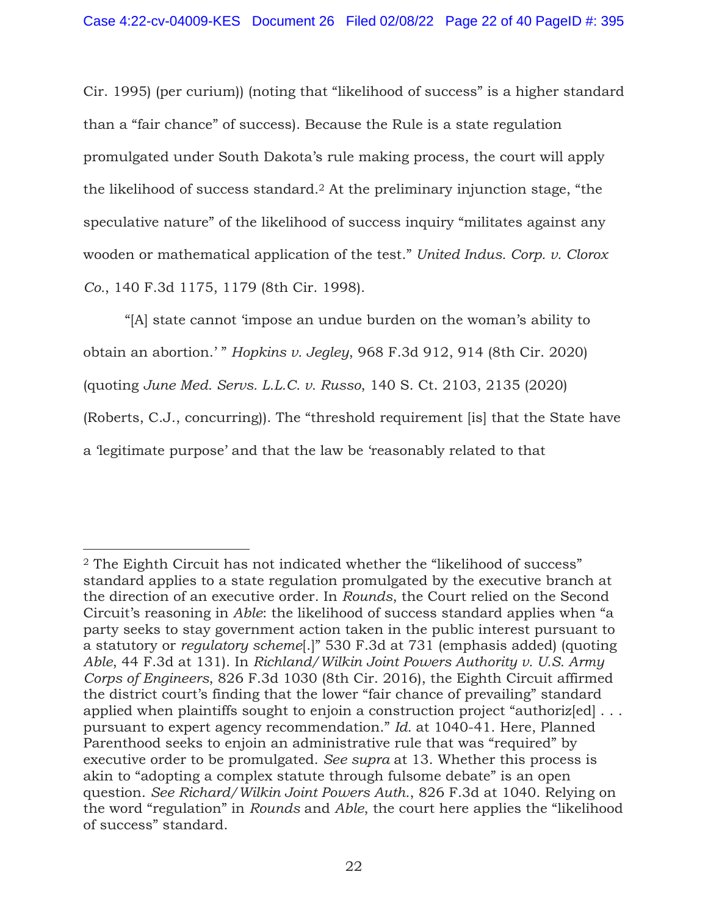Cir. 1995) (per curium)) (noting that "likelihood of success" is a higher standard than a "fair chance" of success). Because the Rule is a state regulation promulgated under South Dakota's rule making process, the court will apply the likelihood of success standard.2 At the preliminary injunction stage, "the speculative nature" of the likelihood of success inquiry "militates against any wooden or mathematical application of the test." *United Indus. Corp. v. Clorox Co.*, 140 F.3d 1175, 1179 (8th Cir. 1998).

"[A] state cannot 'impose an undue burden on the woman's ability to obtain an abortion.' " *Hopkins v. Jegley*, 968 F.3d 912, 914 (8th Cir. 2020) (quoting *June Med. Servs. L.L.C. v. Russo*, 140 S. Ct. 2103, 2135 (2020) (Roberts, C.J., concurring)). The "threshold requirement [is] that the State have a 'legitimate purpose' and that the law be 'reasonably related to that

<sup>2</sup> The Eighth Circuit has not indicated whether the "likelihood of success" standard applies to a state regulation promulgated by the executive branch at the direction of an executive order. In *Rounds*, the Court relied on the Second Circuit's reasoning in *Able*: the likelihood of success standard applies when "a party seeks to stay government action taken in the public interest pursuant to a statutory or *regulatory scheme*[.]" 530 F.3d at 731 (emphasis added) (quoting *Able*, 44 F.3d at 131). In *Richland/Wilkin Joint Powers Authority v. U.S. Army Corps of Engineers*, 826 F.3d 1030 (8th Cir. 2016), the Eighth Circuit affirmed the district court's finding that the lower "fair chance of prevailing" standard applied when plaintiffs sought to enjoin a construction project "authorized... pursuant to expert agency recommendation." *Id.* at 1040-41. Here, Planned Parenthood seeks to enjoin an administrative rule that was "required" by executive order to be promulgated. *See supra* at 13. Whether this process is akin to "adopting a complex statute through fulsome debate" is an open question. *See Richard/Wilkin Joint Powers Auth.*, 826 F.3d at 1040. Relying on the word "regulation" in *Rounds* and *Able*, the court here applies the "likelihood of success" standard.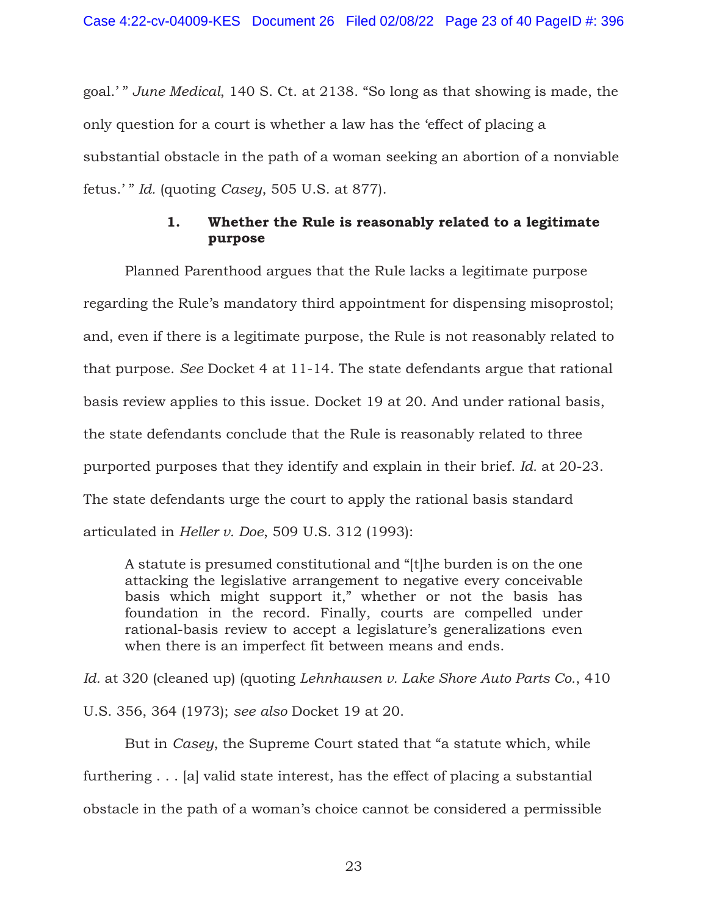goal.' " *June Medical*, 140 S. Ct. at 2138. "So long as that showing is made, the only question for a court is whether a law has the 'effect of placing a substantial obstacle in the path of a woman seeking an abortion of a nonviable fetus.' " *Id.* (quoting *Casey*, 505 U.S. at 877).

# **1. Whether the Rule is reasonably related to a legitimate purpose**

 Planned Parenthood argues that the Rule lacks a legitimate purpose regarding the Rule's mandatory third appointment for dispensing misoprostol; and, even if there is a legitimate purpose, the Rule is not reasonably related to that purpose. *See* Docket 4 at 11-14. The state defendants argue that rational basis review applies to this issue. Docket 19 at 20. And under rational basis, the state defendants conclude that the Rule is reasonably related to three purported purposes that they identify and explain in their brief. *Id.* at 20-23. The state defendants urge the court to apply the rational basis standard articulated in *Heller v. Doe*, 509 U.S. 312 (1993):

A statute is presumed constitutional and "[t]he burden is on the one attacking the legislative arrangement to negative every conceivable basis which might support it," whether or not the basis has foundation in the record. Finally, courts are compelled under rational-basis review to accept a legislature's generalizations even when there is an imperfect fit between means and ends.

*Id.* at 320 (cleaned up) (quoting *Lehnhausen v. Lake Shore Auto Parts Co.*, 410 U.S. 356, 364 (1973); *see also* Docket 19 at 20.

 But in *Casey*, the Supreme Court stated that "a statute which, while furthering . . . [a] valid state interest, has the effect of placing a substantial obstacle in the path of a woman's choice cannot be considered a permissible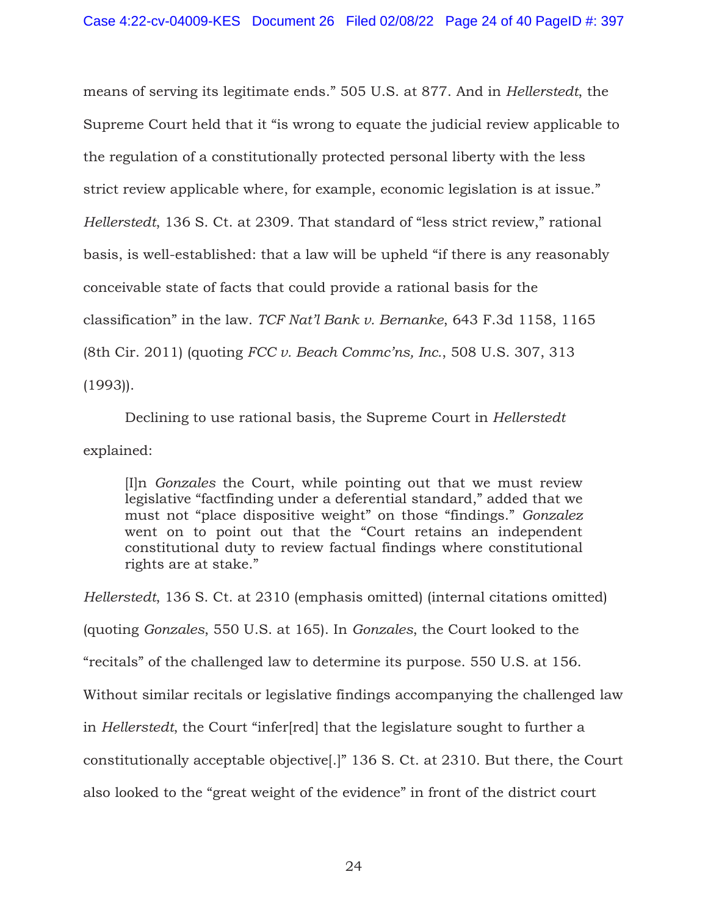means of serving its legitimate ends." 505 U.S. at 877. And in *Hellerstedt*, the Supreme Court held that it "is wrong to equate the judicial review applicable to the regulation of a constitutionally protected personal liberty with the less strict review applicable where, for example, economic legislation is at issue." *Hellerstedt*, 136 S. Ct. at 2309. That standard of "less strict review," rational basis, is well-established: that a law will be upheld "if there is any reasonably conceivable state of facts that could provide a rational basis for the classification" in the law. *TCF Nat'l Bank v. Bernanke*, 643 F.3d 1158, 1165 (8th Cir. 2011) (quoting *FCC v. Beach Commc'ns, Inc.*, 508 U.S. 307, 313 (1993)).

Declining to use rational basis, the Supreme Court in *Hellerstedt* explained:

[I]n *Gonzales* the Court, while pointing out that we must review legislative "factfinding under a deferential standard," added that we must not "place dispositive weight" on those "findings." *Gonzalez* went on to point out that the "Court retains an independent constitutional duty to review factual findings where constitutional rights are at stake."

*Hellerstedt*, 136 S. Ct. at 2310 (emphasis omitted) (internal citations omitted) (quoting *Gonzales*, 550 U.S. at 165). In *Gonzales*, the Court looked to the "recitals" of the challenged law to determine its purpose. 550 U.S. at 156. Without similar recitals or legislative findings accompanying the challenged law in *Hellerstedt*, the Court "infer[red] that the legislature sought to further a constitutionally acceptable objective[.]" 136 S. Ct. at 2310. But there, the Court also looked to the "great weight of the evidence" in front of the district court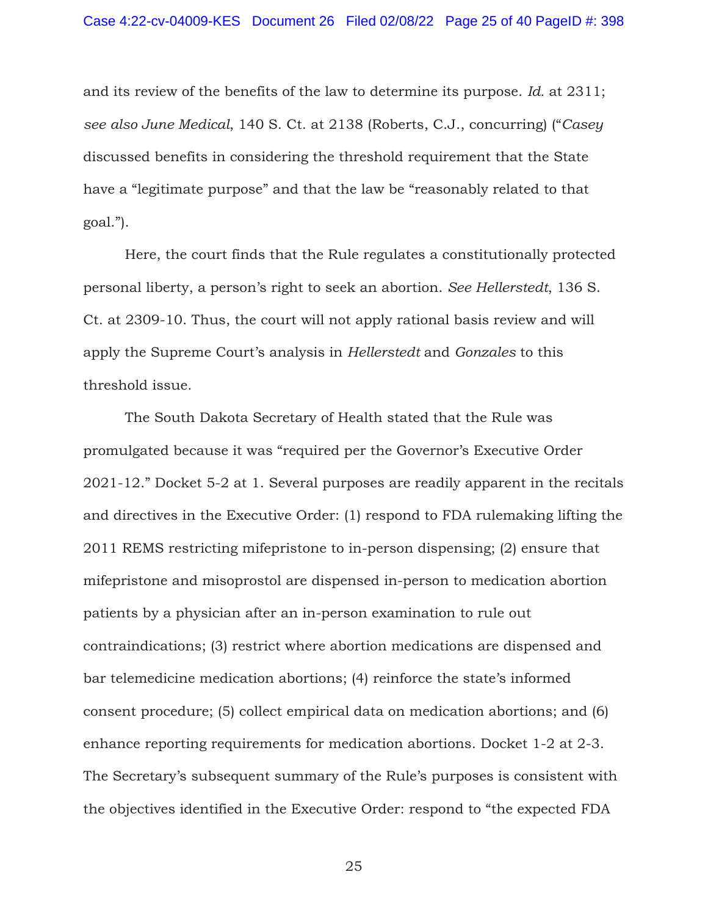and its review of the benefits of the law to determine its purpose. *Id.* at 2311; *see also June Medical*, 140 S. Ct. at 2138 (Roberts, C.J., concurring) ("*Casey* discussed benefits in considering the threshold requirement that the State have a "legitimate purpose" and that the law be "reasonably related to that goal.").

 Here, the court finds that the Rule regulates a constitutionally protected personal liberty, a person's right to seek an abortion. *See Hellerstedt*, 136 S. Ct. at 2309-10. Thus, the court will not apply rational basis review and will apply the Supreme Court's analysis in *Hellerstedt* and *Gonzales* to this threshold issue.

 The South Dakota Secretary of Health stated that the Rule was promulgated because it was "required per the Governor's Executive Order 2021-12." Docket 5-2 at 1. Several purposes are readily apparent in the recitals and directives in the Executive Order: (1) respond to FDA rulemaking lifting the 2011 REMS restricting mifepristone to in-person dispensing; (2) ensure that mifepristone and misoprostol are dispensed in-person to medication abortion patients by a physician after an in-person examination to rule out contraindications; (3) restrict where abortion medications are dispensed and bar telemedicine medication abortions; (4) reinforce the state's informed consent procedure; (5) collect empirical data on medication abortions; and (6) enhance reporting requirements for medication abortions. Docket 1-2 at 2-3. The Secretary's subsequent summary of the Rule's purposes is consistent with the objectives identified in the Executive Order: respond to "the expected FDA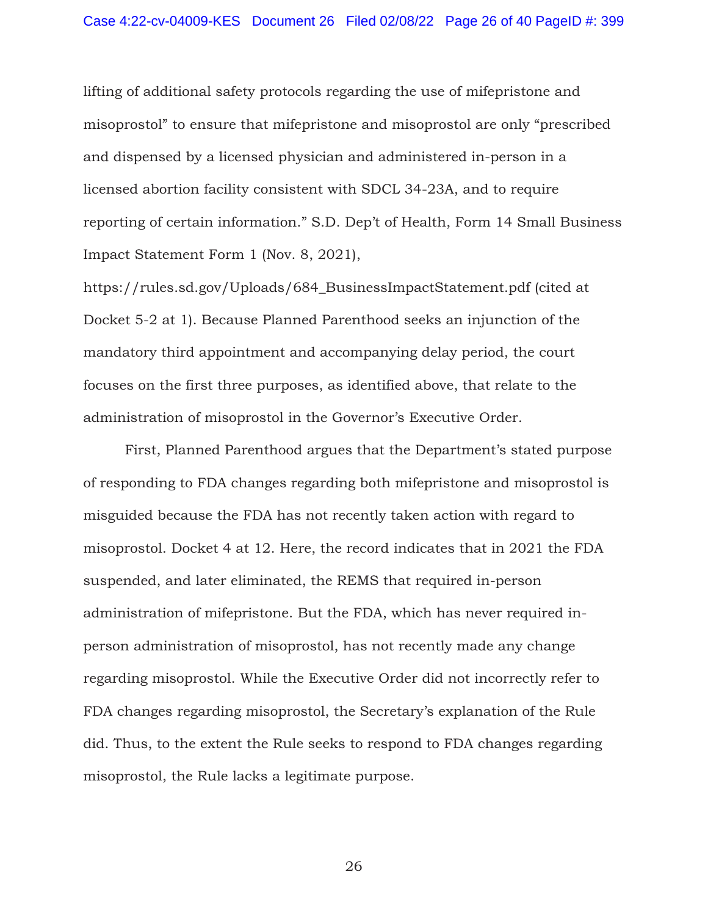lifting of additional safety protocols regarding the use of mifepristone and misoprostol" to ensure that mifepristone and misoprostol are only "prescribed and dispensed by a licensed physician and administered in-person in a licensed abortion facility consistent with SDCL 34-23A, and to require reporting of certain information." S.D. Dep't of Health, Form 14 Small Business Impact Statement Form 1 (Nov. 8, 2021),

https://rules.sd.gov/Uploads/684\_BusinessImpactStatement.pdf (cited at Docket 5-2 at 1). Because Planned Parenthood seeks an injunction of the mandatory third appointment and accompanying delay period, the court focuses on the first three purposes, as identified above, that relate to the administration of misoprostol in the Governor's Executive Order.

First, Planned Parenthood argues that the Department's stated purpose of responding to FDA changes regarding both mifepristone and misoprostol is misguided because the FDA has not recently taken action with regard to misoprostol. Docket 4 at 12. Here, the record indicates that in 2021 the FDA suspended, and later eliminated, the REMS that required in-person administration of mifepristone. But the FDA, which has never required inperson administration of misoprostol, has not recently made any change regarding misoprostol. While the Executive Order did not incorrectly refer to FDA changes regarding misoprostol, the Secretary's explanation of the Rule did. Thus, to the extent the Rule seeks to respond to FDA changes regarding misoprostol, the Rule lacks a legitimate purpose.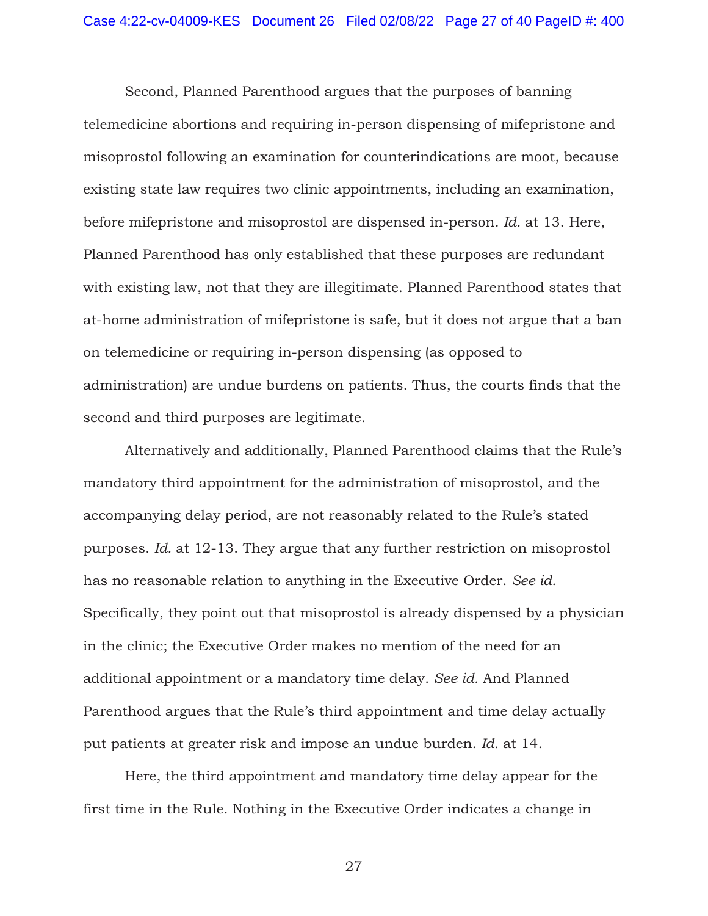Second, Planned Parenthood argues that the purposes of banning telemedicine abortions and requiring in-person dispensing of mifepristone and misoprostol following an examination for counterindications are moot, because existing state law requires two clinic appointments, including an examination, before mifepristone and misoprostol are dispensed in-person. *Id.* at 13. Here, Planned Parenthood has only established that these purposes are redundant with existing law, not that they are illegitimate. Planned Parenthood states that at-home administration of mifepristone is safe, but it does not argue that a ban on telemedicine or requiring in-person dispensing (as opposed to administration) are undue burdens on patients. Thus, the courts finds that the second and third purposes are legitimate.

Alternatively and additionally, Planned Parenthood claims that the Rule's mandatory third appointment for the administration of misoprostol, and the accompanying delay period, are not reasonably related to the Rule's stated purposes. *Id.* at 12-13. They argue that any further restriction on misoprostol has no reasonable relation to anything in the Executive Order. *See id.* Specifically, they point out that misoprostol is already dispensed by a physician in the clinic; the Executive Order makes no mention of the need for an additional appointment or a mandatory time delay. *See id.* And Planned Parenthood argues that the Rule's third appointment and time delay actually put patients at greater risk and impose an undue burden. *Id.* at 14.

Here, the third appointment and mandatory time delay appear for the first time in the Rule. Nothing in the Executive Order indicates a change in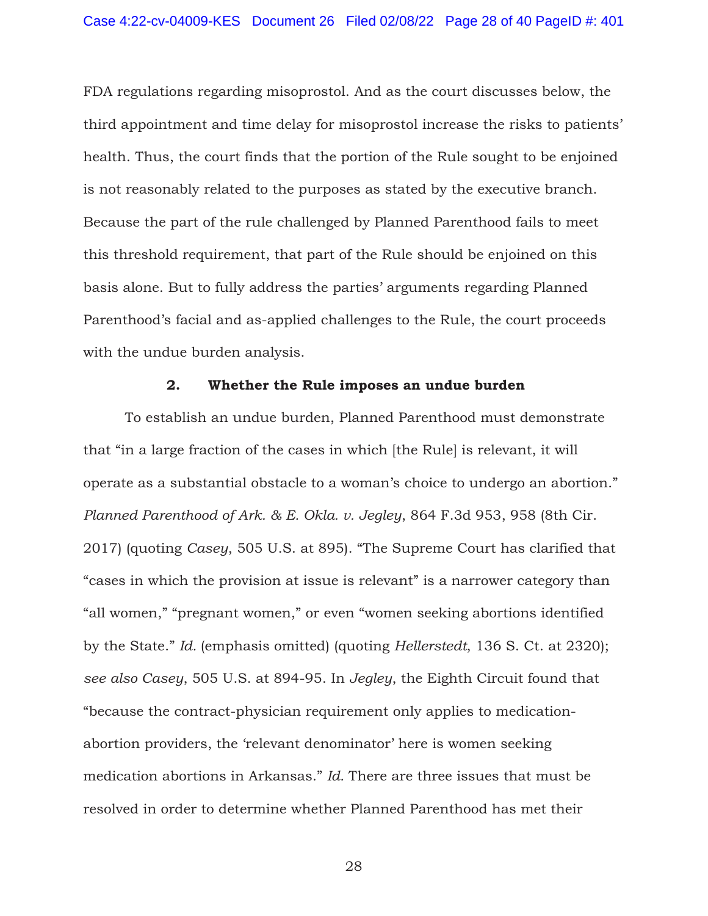FDA regulations regarding misoprostol. And as the court discusses below, the third appointment and time delay for misoprostol increase the risks to patients' health. Thus, the court finds that the portion of the Rule sought to be enjoined is not reasonably related to the purposes as stated by the executive branch. Because the part of the rule challenged by Planned Parenthood fails to meet this threshold requirement, that part of the Rule should be enjoined on this basis alone. But to fully address the parties' arguments regarding Planned Parenthood's facial and as-applied challenges to the Rule, the court proceeds with the undue burden analysis.

## **2. Whether the Rule imposes an undue burden**

 To establish an undue burden, Planned Parenthood must demonstrate that "in a large fraction of the cases in which [the Rule] is relevant, it will operate as a substantial obstacle to a woman's choice to undergo an abortion." *Planned Parenthood of Ark. & E. Okla. v. Jegley*, 864 F.3d 953, 958 (8th Cir. 2017) (quoting *Casey*, 505 U.S. at 895). "The Supreme Court has clarified that "cases in which the provision at issue is relevant" is a narrower category than "all women," "pregnant women," or even "women seeking abortions identified by the State." *Id.* (emphasis omitted) (quoting *Hellerstedt*, 136 S. Ct. at 2320); *see also Casey*, 505 U.S. at 894-95. In *Jegley*, the Eighth Circuit found that "because the contract-physician requirement only applies to medicationabortion providers, the 'relevant denominator' here is women seeking medication abortions in Arkansas." *Id.* There are three issues that must be resolved in order to determine whether Planned Parenthood has met their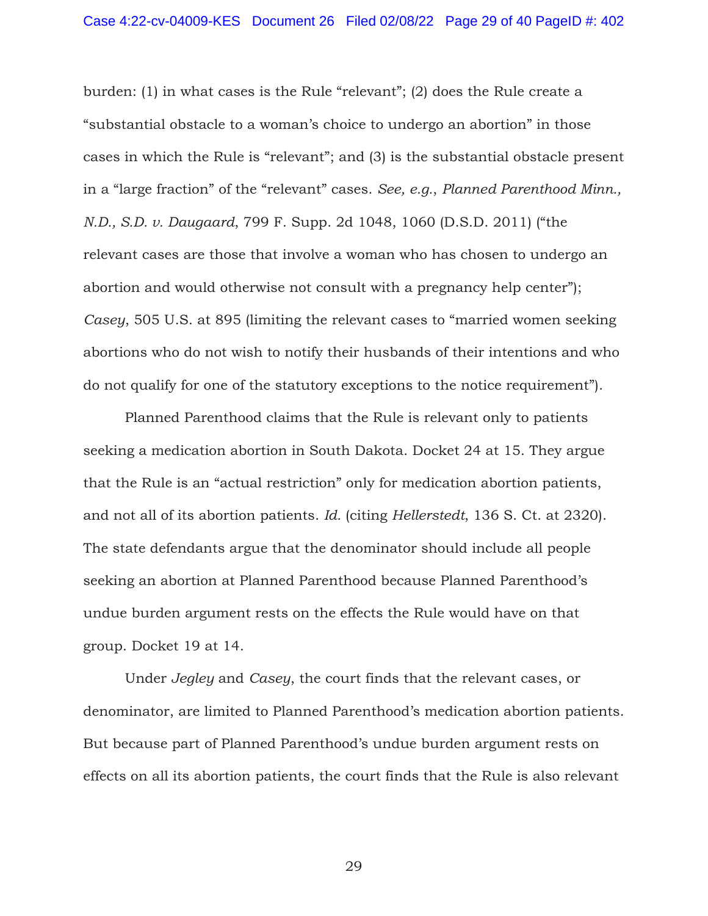burden: (1) in what cases is the Rule "relevant"; (2) does the Rule create a "substantial obstacle to a woman's choice to undergo an abortion" in those cases in which the Rule is "relevant"; and (3) is the substantial obstacle present in a "large fraction" of the "relevant" cases. *See, e.g.*, *Planned Parenthood Minn., N.D., S.D. v. Daugaard*, 799 F. Supp. 2d 1048, 1060 (D.S.D. 2011) ("the relevant cases are those that involve a woman who has chosen to undergo an abortion and would otherwise not consult with a pregnancy help center"); *Casey*, 505 U.S. at 895 (limiting the relevant cases to "married women seeking abortions who do not wish to notify their husbands of their intentions and who do not qualify for one of the statutory exceptions to the notice requirement").

 Planned Parenthood claims that the Rule is relevant only to patients seeking a medication abortion in South Dakota. Docket 24 at 15. They argue that the Rule is an "actual restriction" only for medication abortion patients, and not all of its abortion patients. *Id.* (citing *Hellerstedt*, 136 S. Ct. at 2320). The state defendants argue that the denominator should include all people seeking an abortion at Planned Parenthood because Planned Parenthood's undue burden argument rests on the effects the Rule would have on that group. Docket 19 at 14.

 Under *Jegley* and *Casey*, the court finds that the relevant cases, or denominator, are limited to Planned Parenthood's medication abortion patients. But because part of Planned Parenthood's undue burden argument rests on effects on all its abortion patients, the court finds that the Rule is also relevant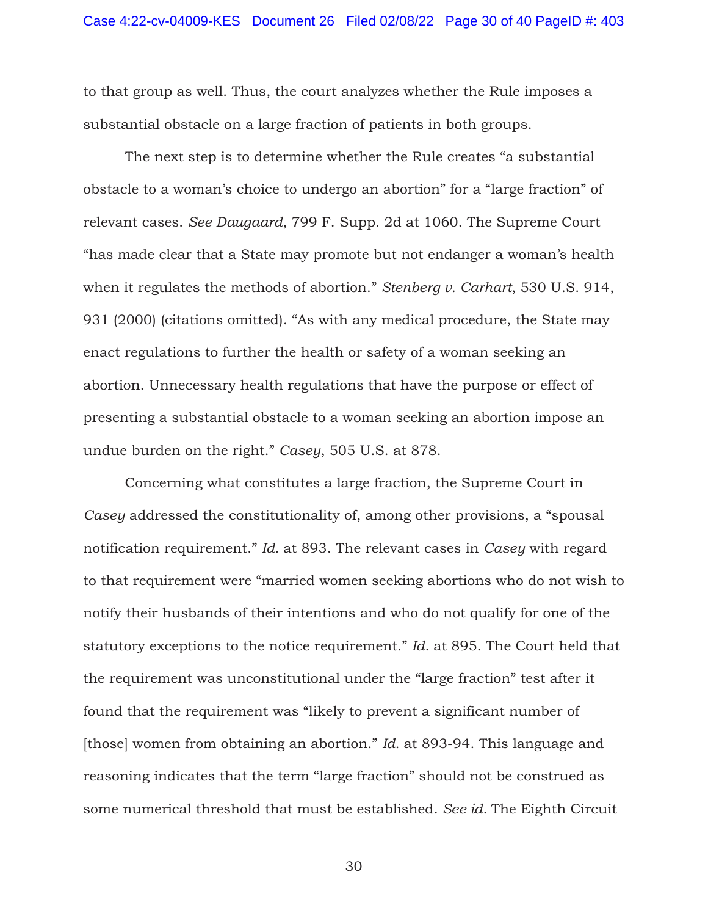to that group as well. Thus, the court analyzes whether the Rule imposes a substantial obstacle on a large fraction of patients in both groups.

The next step is to determine whether the Rule creates "a substantial obstacle to a woman's choice to undergo an abortion" for a "large fraction" of relevant cases. *See Daugaard*, 799 F. Supp. 2d at 1060. The Supreme Court "has made clear that a State may promote but not endanger a woman's health when it regulates the methods of abortion." *Stenberg v. Carhart*, 530 U.S. 914, 931 (2000) (citations omitted). "As with any medical procedure, the State may enact regulations to further the health or safety of a woman seeking an abortion. Unnecessary health regulations that have the purpose or effect of presenting a substantial obstacle to a woman seeking an abortion impose an undue burden on the right." *Casey*, 505 U.S. at 878.

Concerning what constitutes a large fraction, the Supreme Court in *Casey* addressed the constitutionality of, among other provisions, a "spousal notification requirement." *Id.* at 893. The relevant cases in *Casey* with regard to that requirement were "married women seeking abortions who do not wish to notify their husbands of their intentions and who do not qualify for one of the statutory exceptions to the notice requirement." *Id.* at 895. The Court held that the requirement was unconstitutional under the "large fraction" test after it found that the requirement was "likely to prevent a significant number of [those] women from obtaining an abortion." *Id.* at 893-94. This language and reasoning indicates that the term "large fraction" should not be construed as some numerical threshold that must be established. *See id.* The Eighth Circuit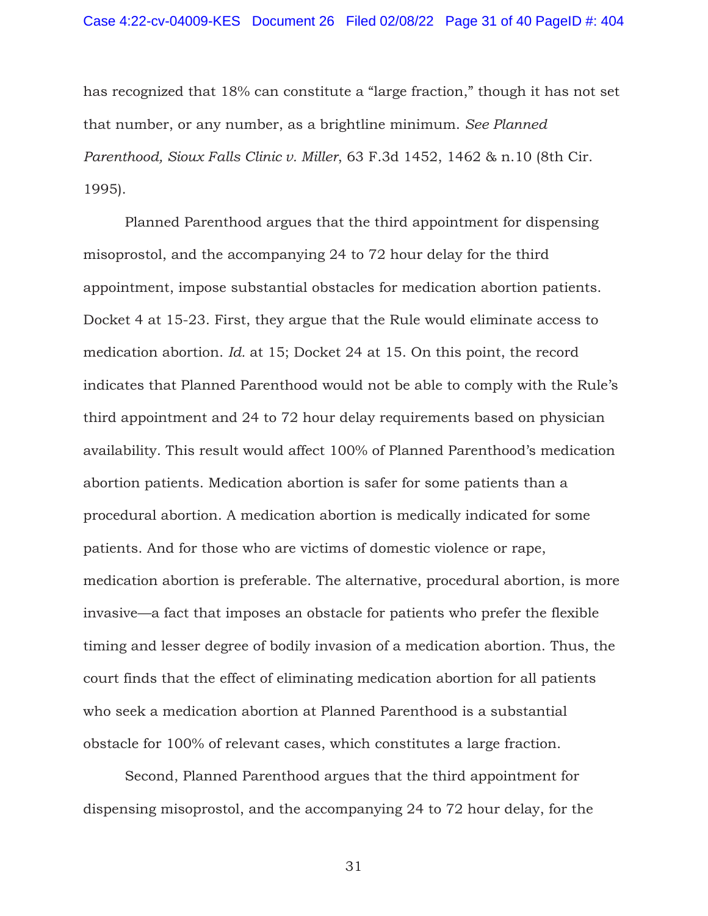has recognized that 18% can constitute a "large fraction," though it has not set that number, or any number, as a brightline minimum. *See Planned Parenthood, Sioux Falls Clinic v. Miller*, 63 F.3d 1452, 1462 & n.10 (8th Cir. 1995).

Planned Parenthood argues that the third appointment for dispensing misoprostol, and the accompanying 24 to 72 hour delay for the third appointment, impose substantial obstacles for medication abortion patients. Docket 4 at 15-23. First, they argue that the Rule would eliminate access to medication abortion. *Id.* at 15; Docket 24 at 15. On this point, the record indicates that Planned Parenthood would not be able to comply with the Rule's third appointment and 24 to 72 hour delay requirements based on physician availability. This result would affect 100% of Planned Parenthood's medication abortion patients. Medication abortion is safer for some patients than a procedural abortion. A medication abortion is medically indicated for some patients. And for those who are victims of domestic violence or rape, medication abortion is preferable. The alternative, procedural abortion, is more invasive—a fact that imposes an obstacle for patients who prefer the flexible timing and lesser degree of bodily invasion of a medication abortion. Thus, the court finds that the effect of eliminating medication abortion for all patients who seek a medication abortion at Planned Parenthood is a substantial obstacle for 100% of relevant cases, which constitutes a large fraction.

Second, Planned Parenthood argues that the third appointment for dispensing misoprostol, and the accompanying 24 to 72 hour delay, for the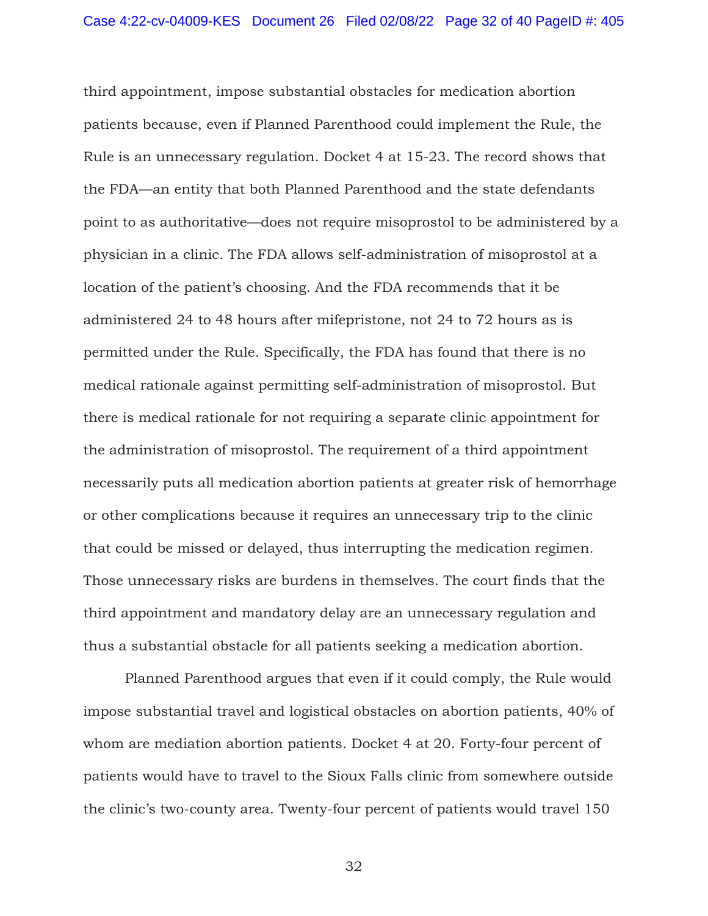third appointment, impose substantial obstacles for medication abortion patients because, even if Planned Parenthood could implement the Rule, the Rule is an unnecessary regulation. Docket 4 at 15-23. The record shows that the FDA—an entity that both Planned Parenthood and the state defendants point to as authoritative—does not require misoprostol to be administered by a physician in a clinic. The FDA allows self-administration of misoprostol at a location of the patient's choosing. And the FDA recommends that it be administered 24 to 48 hours after mifepristone, not 24 to 72 hours as is permitted under the Rule. Specifically, the FDA has found that there is no medical rationale against permitting self-administration of misoprostol. But there is medical rationale for not requiring a separate clinic appointment for the administration of misoprostol. The requirement of a third appointment necessarily puts all medication abortion patients at greater risk of hemorrhage or other complications because it requires an unnecessary trip to the clinic that could be missed or delayed, thus interrupting the medication regimen. Those unnecessary risks are burdens in themselves. The court finds that the third appointment and mandatory delay are an unnecessary regulation and thus a substantial obstacle for all patients seeking a medication abortion.

Planned Parenthood argues that even if it could comply, the Rule would impose substantial travel and logistical obstacles on abortion patients, 40% of whom are mediation abortion patients. Docket 4 at 20. Forty-four percent of patients would have to travel to the Sioux Falls clinic from somewhere outside the clinic's two-county area. Twenty-four percent of patients would travel 150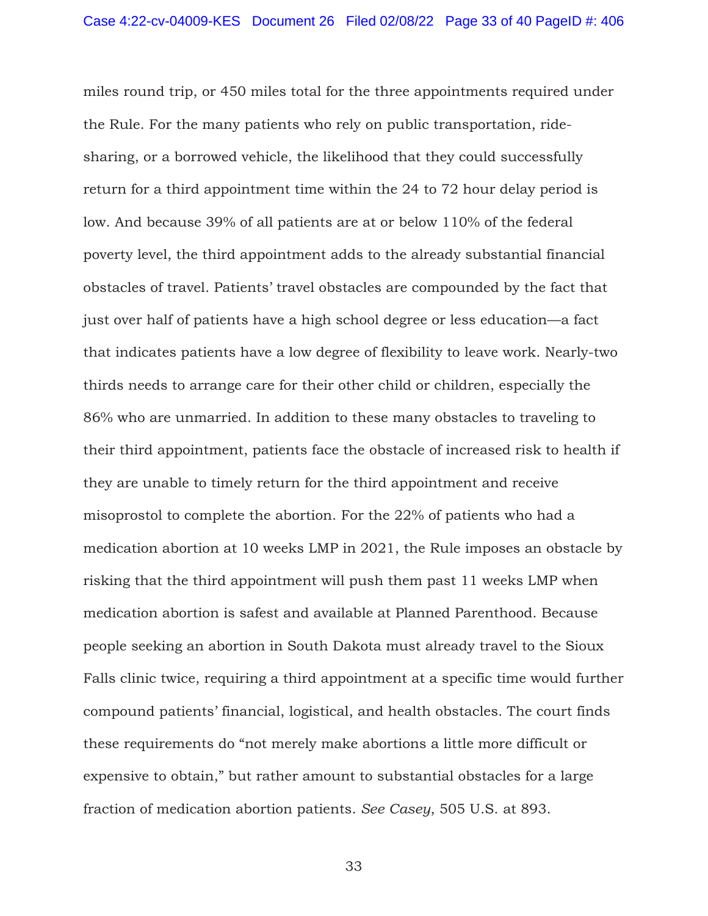miles round trip, or 450 miles total for the three appointments required under the Rule. For the many patients who rely on public transportation, ridesharing, or a borrowed vehicle, the likelihood that they could successfully return for a third appointment time within the 24 to 72 hour delay period is low. And because 39% of all patients are at or below 110% of the federal poverty level, the third appointment adds to the already substantial financial obstacles of travel. Patients' travel obstacles are compounded by the fact that just over half of patients have a high school degree or less education—a fact that indicates patients have a low degree of flexibility to leave work. Nearly-two thirds needs to arrange care for their other child or children, especially the 86% who are unmarried. In addition to these many obstacles to traveling to their third appointment, patients face the obstacle of increased risk to health if they are unable to timely return for the third appointment and receive misoprostol to complete the abortion. For the 22% of patients who had a medication abortion at 10 weeks LMP in 2021, the Rule imposes an obstacle by risking that the third appointment will push them past 11 weeks LMP when medication abortion is safest and available at Planned Parenthood. Because people seeking an abortion in South Dakota must already travel to the Sioux Falls clinic twice, requiring a third appointment at a specific time would further compound patients' financial, logistical, and health obstacles. The court finds these requirements do "not merely make abortions a little more difficult or expensive to obtain," but rather amount to substantial obstacles for a large fraction of medication abortion patients. *See Casey*, 505 U.S. at 893.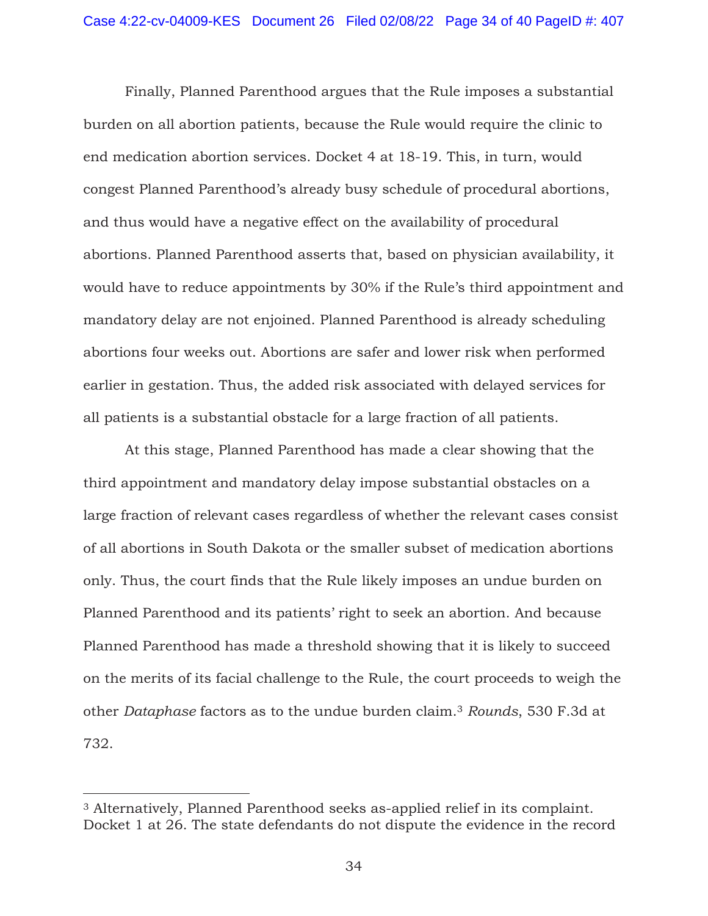Finally, Planned Parenthood argues that the Rule imposes a substantial burden on all abortion patients, because the Rule would require the clinic to end medication abortion services. Docket 4 at 18-19. This, in turn, would congest Planned Parenthood's already busy schedule of procedural abortions, and thus would have a negative effect on the availability of procedural abortions. Planned Parenthood asserts that, based on physician availability, it would have to reduce appointments by 30% if the Rule's third appointment and mandatory delay are not enjoined. Planned Parenthood is already scheduling abortions four weeks out. Abortions are safer and lower risk when performed earlier in gestation. Thus, the added risk associated with delayed services for all patients is a substantial obstacle for a large fraction of all patients.

 At this stage, Planned Parenthood has made a clear showing that the third appointment and mandatory delay impose substantial obstacles on a large fraction of relevant cases regardless of whether the relevant cases consist of all abortions in South Dakota or the smaller subset of medication abortions only. Thus, the court finds that the Rule likely imposes an undue burden on Planned Parenthood and its patients' right to seek an abortion. And because Planned Parenthood has made a threshold showing that it is likely to succeed on the merits of its facial challenge to the Rule, the court proceeds to weigh the other *Dataphase* factors as to the undue burden claim.3 *Rounds*, 530 F.3d at 732.

<sup>3</sup> Alternatively, Planned Parenthood seeks as-applied relief in its complaint. Docket 1 at 26. The state defendants do not dispute the evidence in the record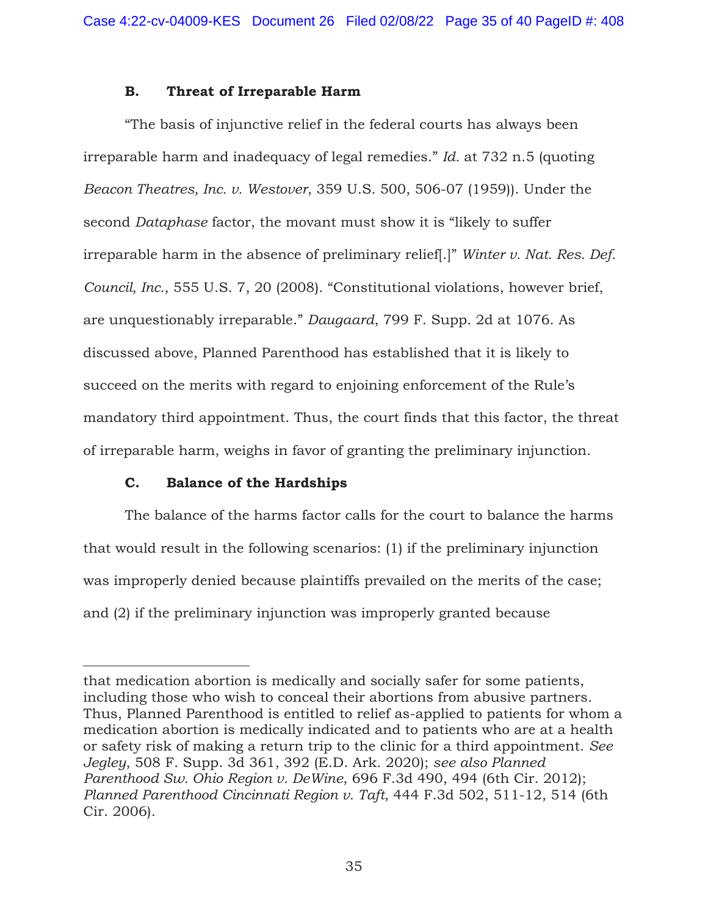# **B. Threat of Irreparable Harm**

"The basis of injunctive relief in the federal courts has always been irreparable harm and inadequacy of legal remedies." *Id.* at 732 n.5 (quoting *Beacon Theatres, Inc. v. Westover*, 359 U.S. 500, 506-07 (1959)). Under the second *Dataphase* factor, the movant must show it is "likely to suffer irreparable harm in the absence of preliminary relief[.]" *Winter v. Nat. Res. Def. Council, Inc.*, 555 U.S. 7, 20 (2008). "Constitutional violations, however brief, are unquestionably irreparable." *Daugaard*, 799 F. Supp. 2d at 1076. As discussed above, Planned Parenthood has established that it is likely to succeed on the merits with regard to enjoining enforcement of the Rule's mandatory third appointment. Thus, the court finds that this factor, the threat of irreparable harm, weighs in favor of granting the preliminary injunction.

# **C. Balance of the Hardships**

The balance of the harms factor calls for the court to balance the harms that would result in the following scenarios: (1) if the preliminary injunction was improperly denied because plaintiffs prevailed on the merits of the case; and (2) if the preliminary injunction was improperly granted because

that medication abortion is medically and socially safer for some patients, including those who wish to conceal their abortions from abusive partners. Thus, Planned Parenthood is entitled to relief as-applied to patients for whom a medication abortion is medically indicated and to patients who are at a health or safety risk of making a return trip to the clinic for a third appointment. *See Jegley*, 508 F. Supp. 3d 361, 392 (E.D. Ark. 2020); *see also Planned Parenthood Sw. Ohio Region v. DeWine*, 696 F.3d 490, 494 (6th Cir. 2012); *Planned Parenthood Cincinnati Region v. Taft*, 444 F.3d 502, 511-12, 514 (6th Cir. 2006).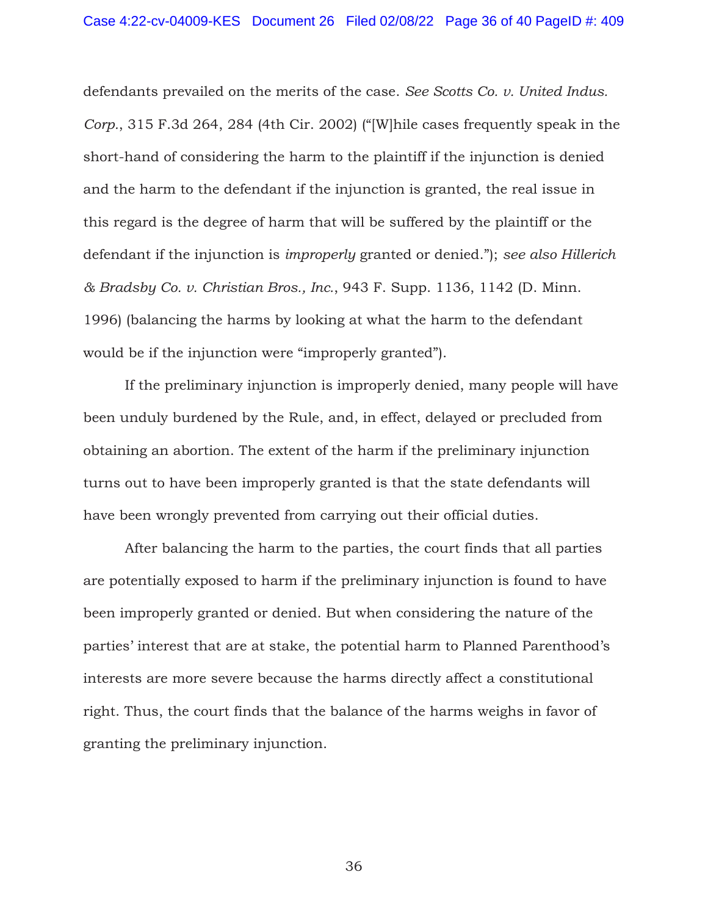defendants prevailed on the merits of the case. *See Scotts Co. v. United Indus. Corp.*, 315 F.3d 264, 284 (4th Cir. 2002) ("[W]hile cases frequently speak in the short-hand of considering the harm to the plaintiff if the injunction is denied and the harm to the defendant if the injunction is granted, the real issue in this regard is the degree of harm that will be suffered by the plaintiff or the defendant if the injunction is *improperly* granted or denied."); *see also Hillerich & Bradsby Co. v. Christian Bros., Inc.*, 943 F. Supp. 1136, 1142 (D. Minn. 1996) (balancing the harms by looking at what the harm to the defendant would be if the injunction were "improperly granted").

If the preliminary injunction is improperly denied, many people will have been unduly burdened by the Rule, and, in effect, delayed or precluded from obtaining an abortion. The extent of the harm if the preliminary injunction turns out to have been improperly granted is that the state defendants will have been wrongly prevented from carrying out their official duties.

After balancing the harm to the parties, the court finds that all parties are potentially exposed to harm if the preliminary injunction is found to have been improperly granted or denied. But when considering the nature of the parties' interest that are at stake, the potential harm to Planned Parenthood's interests are more severe because the harms directly affect a constitutional right. Thus, the court finds that the balance of the harms weighs in favor of granting the preliminary injunction.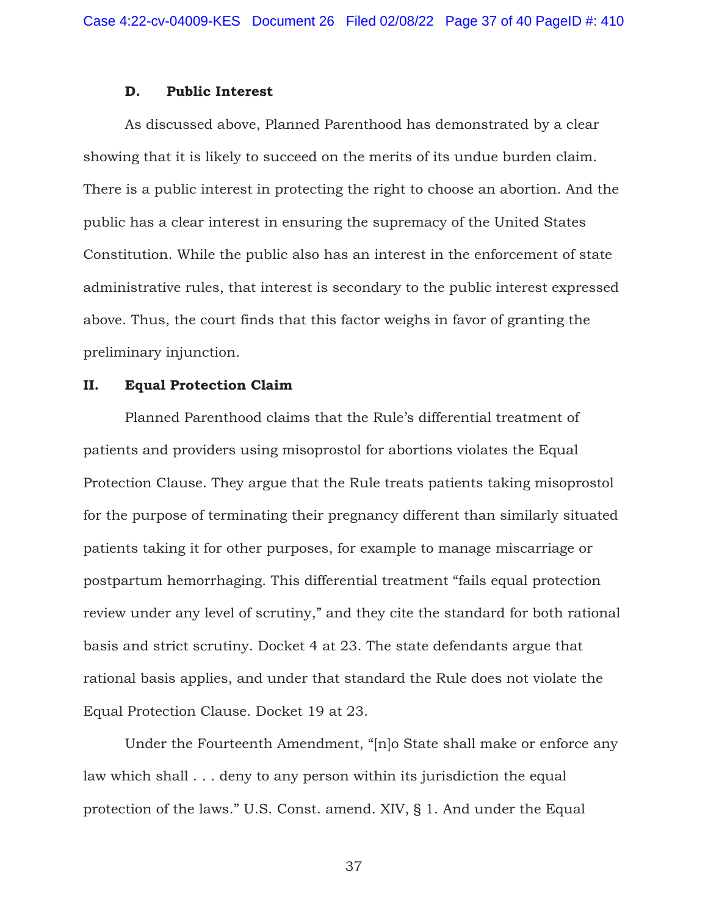## **D. Public Interest**

As discussed above, Planned Parenthood has demonstrated by a clear showing that it is likely to succeed on the merits of its undue burden claim. There is a public interest in protecting the right to choose an abortion. And the public has a clear interest in ensuring the supremacy of the United States Constitution. While the public also has an interest in the enforcement of state administrative rules, that interest is secondary to the public interest expressed above. Thus, the court finds that this factor weighs in favor of granting the preliminary injunction.

## **II. Equal Protection Claim**

Planned Parenthood claims that the Rule's differential treatment of patients and providers using misoprostol for abortions violates the Equal Protection Clause. They argue that the Rule treats patients taking misoprostol for the purpose of terminating their pregnancy different than similarly situated patients taking it for other purposes, for example to manage miscarriage or postpartum hemorrhaging. This differential treatment "fails equal protection review under any level of scrutiny," and they cite the standard for both rational basis and strict scrutiny. Docket 4 at 23. The state defendants argue that rational basis applies, and under that standard the Rule does not violate the Equal Protection Clause. Docket 19 at 23.

 Under the Fourteenth Amendment, "[n]o State shall make or enforce any law which shall . . . deny to any person within its jurisdiction the equal protection of the laws." U.S. Const. amend. XIV, § 1. And under the Equal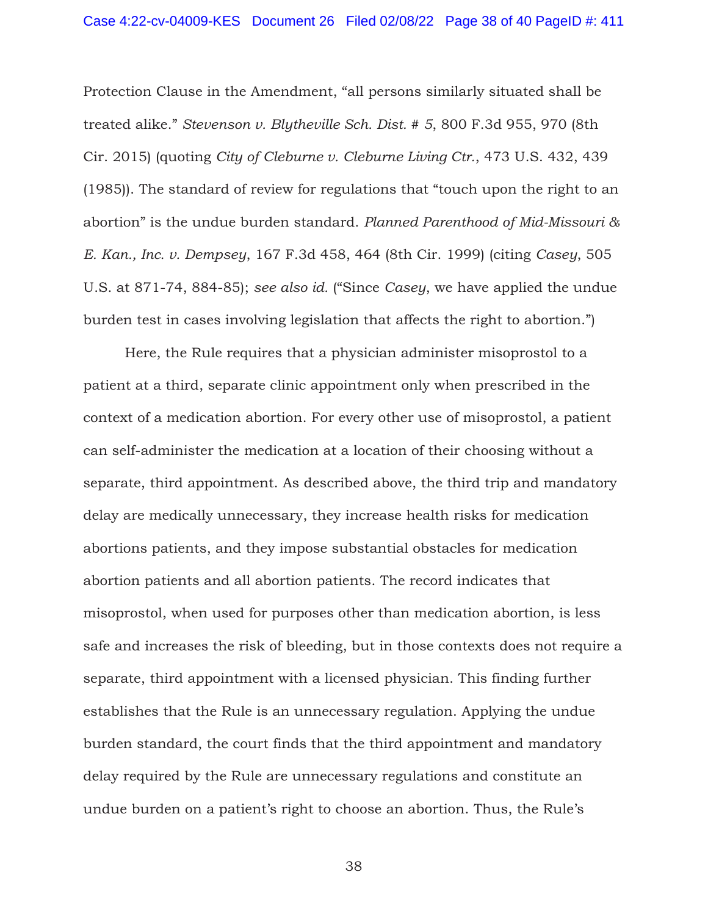Protection Clause in the Amendment, "all persons similarly situated shall be treated alike." *Stevenson v. Blytheville Sch. Dist. # 5*, 800 F.3d 955, 970 (8th Cir. 2015) (quoting *City of Cleburne v. Cleburne Living Ctr.*, 473 U.S. 432, 439 (1985)). The standard of review for regulations that "touch upon the right to an abortion" is the undue burden standard. *Planned Parenthood of Mid-Missouri & E. Kan., Inc. v. Dempsey*, 167 F.3d 458, 464 (8th Cir. 1999) (citing *Casey*, 505 U.S. at 871-74, 884-85); *see also id.* ("Since *Casey*, we have applied the undue burden test in cases involving legislation that affects the right to abortion.")

 Here, the Rule requires that a physician administer misoprostol to a patient at a third, separate clinic appointment only when prescribed in the context of a medication abortion. For every other use of misoprostol, a patient can self-administer the medication at a location of their choosing without a separate, third appointment. As described above, the third trip and mandatory delay are medically unnecessary, they increase health risks for medication abortions patients, and they impose substantial obstacles for medication abortion patients and all abortion patients. The record indicates that misoprostol, when used for purposes other than medication abortion, is less safe and increases the risk of bleeding, but in those contexts does not require a separate, third appointment with a licensed physician. This finding further establishes that the Rule is an unnecessary regulation. Applying the undue burden standard, the court finds that the third appointment and mandatory delay required by the Rule are unnecessary regulations and constitute an undue burden on a patient's right to choose an abortion. Thus, the Rule's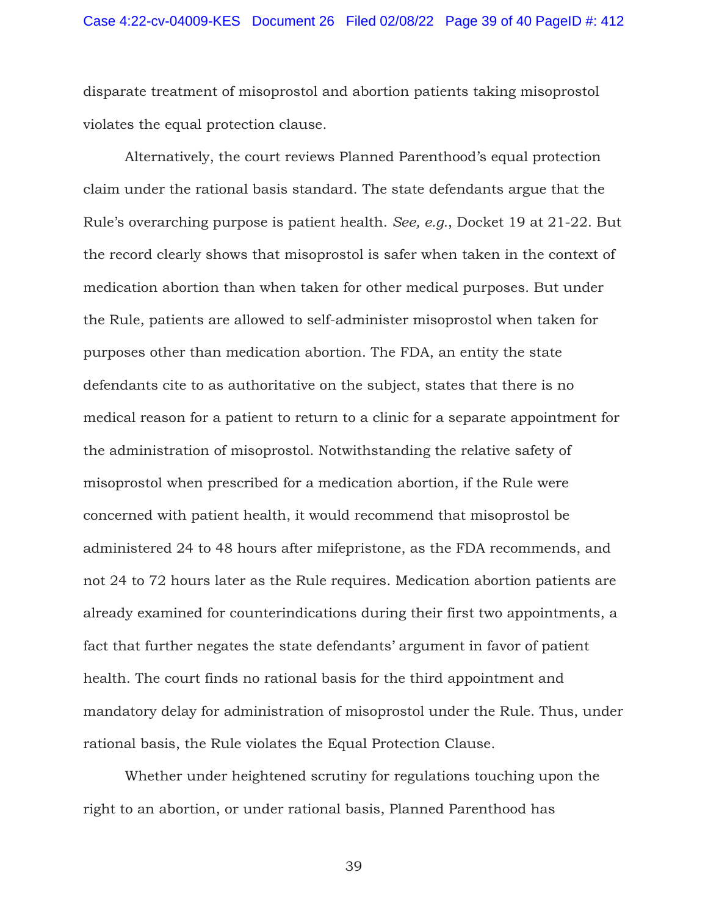disparate treatment of misoprostol and abortion patients taking misoprostol violates the equal protection clause.

Alternatively, the court reviews Planned Parenthood's equal protection claim under the rational basis standard. The state defendants argue that the Rule's overarching purpose is patient health. *See, e.g.*, Docket 19 at 21-22. But the record clearly shows that misoprostol is safer when taken in the context of medication abortion than when taken for other medical purposes. But under the Rule, patients are allowed to self-administer misoprostol when taken for purposes other than medication abortion. The FDA, an entity the state defendants cite to as authoritative on the subject, states that there is no medical reason for a patient to return to a clinic for a separate appointment for the administration of misoprostol. Notwithstanding the relative safety of misoprostol when prescribed for a medication abortion, if the Rule were concerned with patient health, it would recommend that misoprostol be administered 24 to 48 hours after mifepristone, as the FDA recommends, and not 24 to 72 hours later as the Rule requires. Medication abortion patients are already examined for counterindications during their first two appointments, a fact that further negates the state defendants' argument in favor of patient health. The court finds no rational basis for the third appointment and mandatory delay for administration of misoprostol under the Rule. Thus, under rational basis, the Rule violates the Equal Protection Clause.

Whether under heightened scrutiny for regulations touching upon the right to an abortion, or under rational basis, Planned Parenthood has